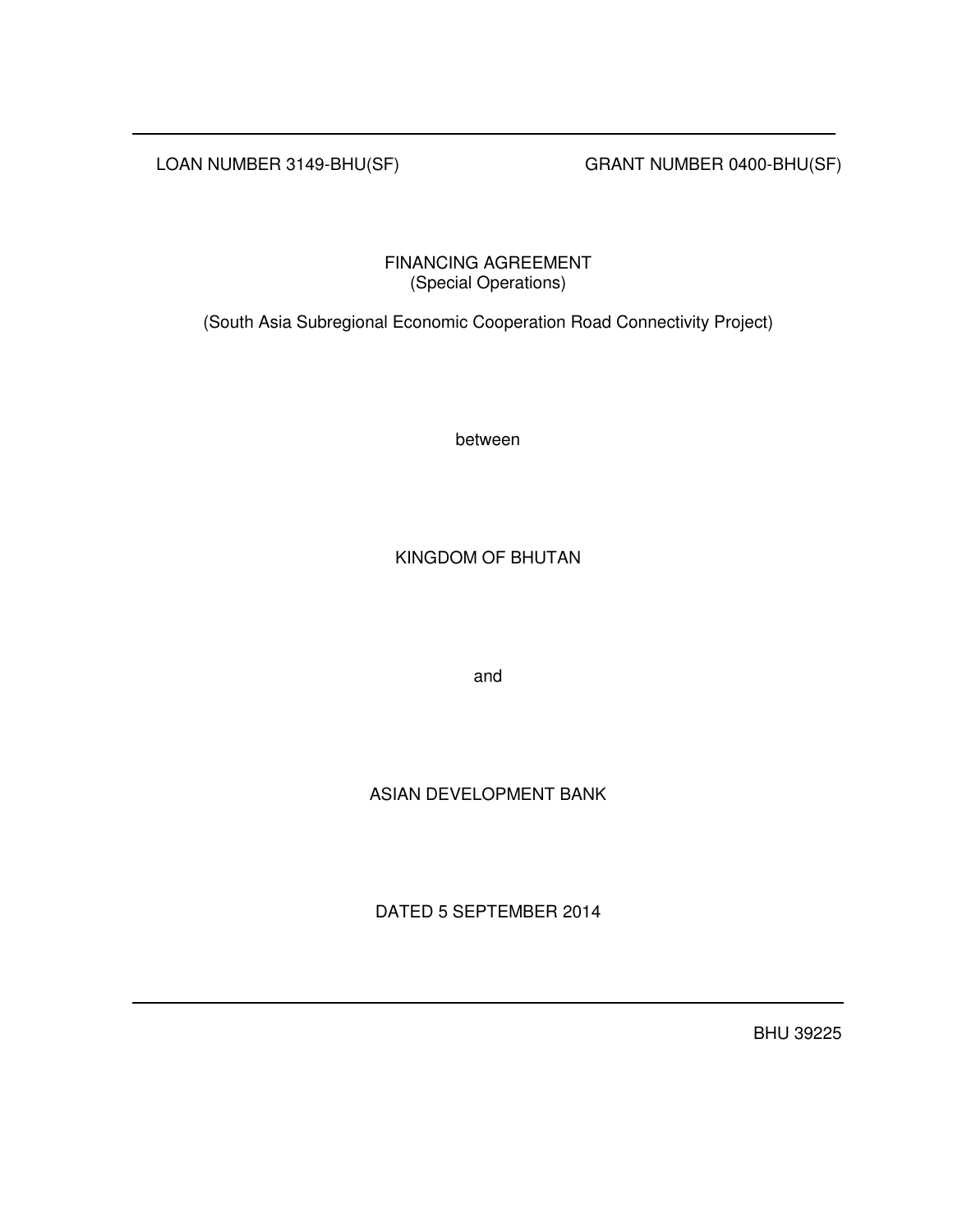LOAN NUMBER 3149-BHU(SF) GRANT NUMBER 0400-BHU(SF)

FINANCING AGREEMENT (Special Operations)

(South Asia Subregional Economic Cooperation Road Connectivity Project)

between

KINGDOM OF BHUTAN

and

ASIAN DEVELOPMENT BANK

DATED 5 SEPTEMBER 2014

BHU 39225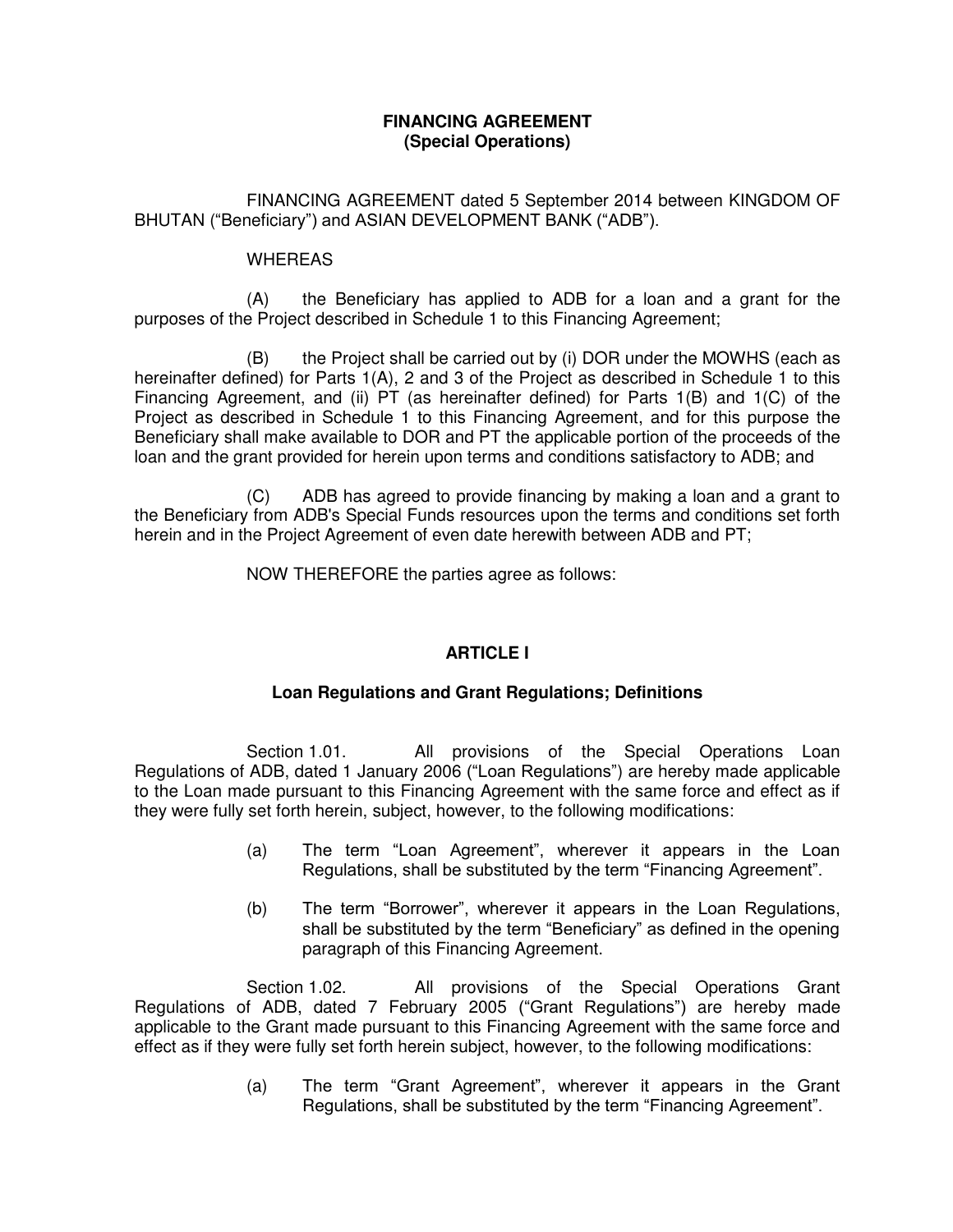# **FINANCING AGREEMENT (Special Operations)**

FINANCING AGREEMENT dated 5 September 2014 between KINGDOM OF BHUTAN ("Beneficiary") and ASIAN DEVELOPMENT BANK ("ADB").

# WHEREAS

(A) the Beneficiary has applied to ADB for a loan and a grant for the purposes of the Project described in Schedule 1 to this Financing Agreement;

(B) the Project shall be carried out by (i) DOR under the MOWHS (each as hereinafter defined) for Parts 1(A), 2 and 3 of the Project as described in Schedule 1 to this Financing Agreement, and (ii) PT (as hereinafter defined) for Parts 1(B) and 1(C) of the Project as described in Schedule 1 to this Financing Agreement, and for this purpose the Beneficiary shall make available to DOR and PT the applicable portion of the proceeds of the loan and the grant provided for herein upon terms and conditions satisfactory to ADB; and

(C) ADB has agreed to provide financing by making a loan and a grant to the Beneficiary from ADB's Special Funds resources upon the terms and conditions set forth herein and in the Project Agreement of even date herewith between ADB and PT;

NOW THEREFORE the parties agree as follows:

# **ARTICLE I**

# **Loan Regulations and Grant Regulations; Definitions**

 Section 1.01. All provisions of the Special Operations Loan Regulations of ADB, dated 1 January 2006 ("Loan Regulations") are hereby made applicable to the Loan made pursuant to this Financing Agreement with the same force and effect as if they were fully set forth herein, subject, however, to the following modifications:

- (a) The term "Loan Agreement", wherever it appears in the Loan Regulations, shall be substituted by the term "Financing Agreement".
- (b) The term "Borrower", wherever it appears in the Loan Regulations, shall be substituted by the term "Beneficiary" as defined in the opening paragraph of this Financing Agreement.

Section 1.02. All provisions of the Special Operations Grant Regulations of ADB, dated 7 February 2005 ("Grant Regulations") are hereby made applicable to the Grant made pursuant to this Financing Agreement with the same force and effect as if they were fully set forth herein subject, however, to the following modifications:

> (a) The term "Grant Agreement", wherever it appears in the Grant Regulations, shall be substituted by the term "Financing Agreement".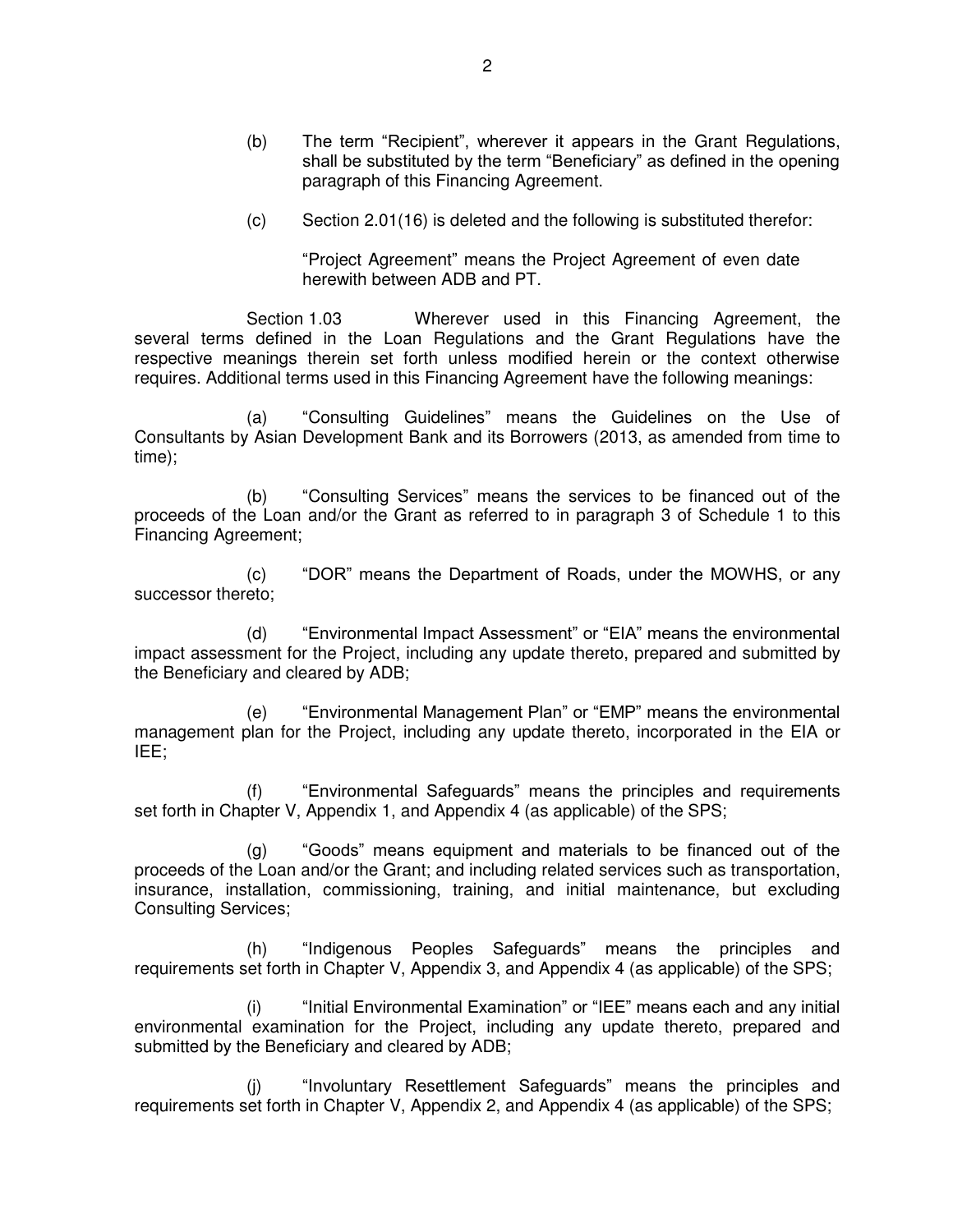- (b) The term "Recipient", wherever it appears in the Grant Regulations, shall be substituted by the term "Beneficiary" as defined in the opening paragraph of this Financing Agreement.
- $(c)$  Section 2.01(16) is deleted and the following is substituted therefor:

"Project Agreement" means the Project Agreement of even date herewith between ADB and PT.

Section 1.03 Wherever used in this Financing Agreement, the several terms defined in the Loan Regulations and the Grant Regulations have the respective meanings therein set forth unless modified herein or the context otherwise requires. Additional terms used in this Financing Agreement have the following meanings:

(a) "Consulting Guidelines" means the Guidelines on the Use of Consultants by Asian Development Bank and its Borrowers (2013, as amended from time to time);

(b) "Consulting Services" means the services to be financed out of the proceeds of the Loan and/or the Grant as referred to in paragraph 3 of Schedule 1 to this Financing Agreement;

(c) "DOR" means the Department of Roads, under the MOWHS, or any successor thereto;

(d) "Environmental Impact Assessment" or "EIA" means the environmental impact assessment for the Project, including any update thereto, prepared and submitted by the Beneficiary and cleared by ADB;

(e) "Environmental Management Plan" or "EMP" means the environmental management plan for the Project, including any update thereto, incorporated in the EIA or IEE;

(f) "Environmental Safeguards" means the principles and requirements set forth in Chapter V, Appendix 1, and Appendix 4 (as applicable) of the SPS;

(g) "Goods" means equipment and materials to be financed out of the proceeds of the Loan and/or the Grant; and including related services such as transportation, insurance, installation, commissioning, training, and initial maintenance, but excluding Consulting Services;

(h) "Indigenous Peoples Safeguards" means the principles and requirements set forth in Chapter V, Appendix 3, and Appendix 4 (as applicable) of the SPS;

(i) "Initial Environmental Examination" or "IEE" means each and any initial environmental examination for the Project, including any update thereto, prepared and submitted by the Beneficiary and cleared by ADB;

(j) "Involuntary Resettlement Safeguards" means the principles and requirements set forth in Chapter V, Appendix 2, and Appendix 4 (as applicable) of the SPS;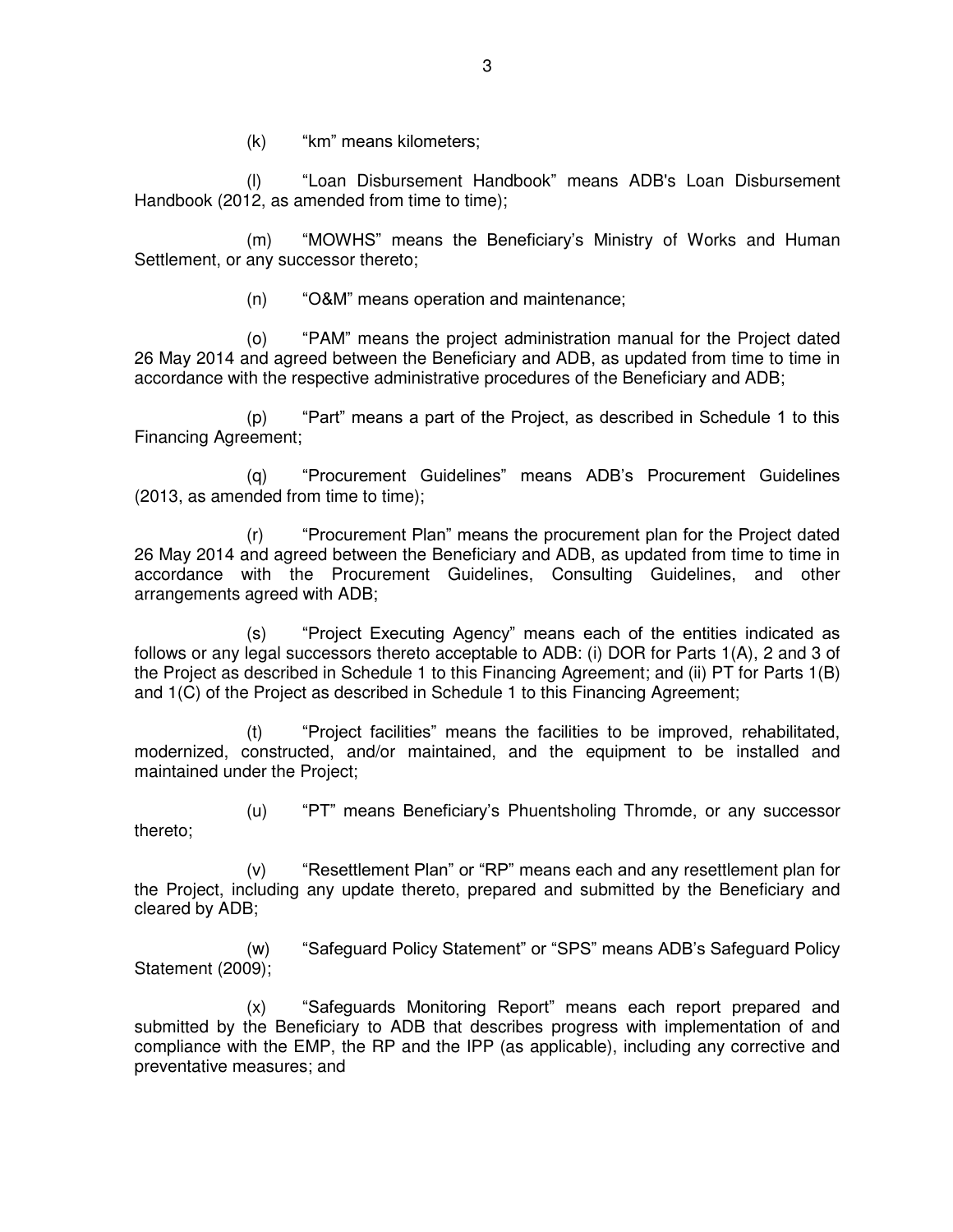(k) "km" means kilometers;

(l) "Loan Disbursement Handbook" means ADB's Loan Disbursement Handbook (2012, as amended from time to time);

(m) "MOWHS" means the Beneficiary's Ministry of Works and Human Settlement, or any successor thereto;

(n) "O&M" means operation and maintenance;

(o) "PAM" means the project administration manual for the Project dated 26 May 2014 and agreed between the Beneficiary and ADB, as updated from time to time in accordance with the respective administrative procedures of the Beneficiary and ADB;

(p) "Part" means a part of the Project, as described in Schedule 1 to this Financing Agreement;

(q) "Procurement Guidelines" means ADB's Procurement Guidelines (2013, as amended from time to time);

(r) "Procurement Plan" means the procurement plan for the Project dated 26 May 2014 and agreed between the Beneficiary and ADB, as updated from time to time in accordance with the Procurement Guidelines, Consulting Guidelines, and other arrangements agreed with ADB;

(s) "Project Executing Agency" means each of the entities indicated as follows or any legal successors thereto acceptable to ADB: (i) DOR for Parts 1(A), 2 and 3 of the Project as described in Schedule 1 to this Financing Agreement; and (ii) PT for Parts 1(B) and 1(C) of the Project as described in Schedule 1 to this Financing Agreement;

(t) "Project facilities" means the facilities to be improved, rehabilitated, modernized, constructed, and/or maintained, and the equipment to be installed and maintained under the Project;

(u) "PT" means Beneficiary's Phuentsholing Thromde, or any successor thereto;

(v) "Resettlement Plan" or "RP" means each and any resettlement plan for the Project, including any update thereto, prepared and submitted by the Beneficiary and cleared by ADB;

(w) "Safeguard Policy Statement" or "SPS" means ADB's Safeguard Policy Statement (2009);

(x) "Safeguards Monitoring Report" means each report prepared and submitted by the Beneficiary to ADB that describes progress with implementation of and compliance with the EMP, the RP and the IPP (as applicable), including any corrective and preventative measures; and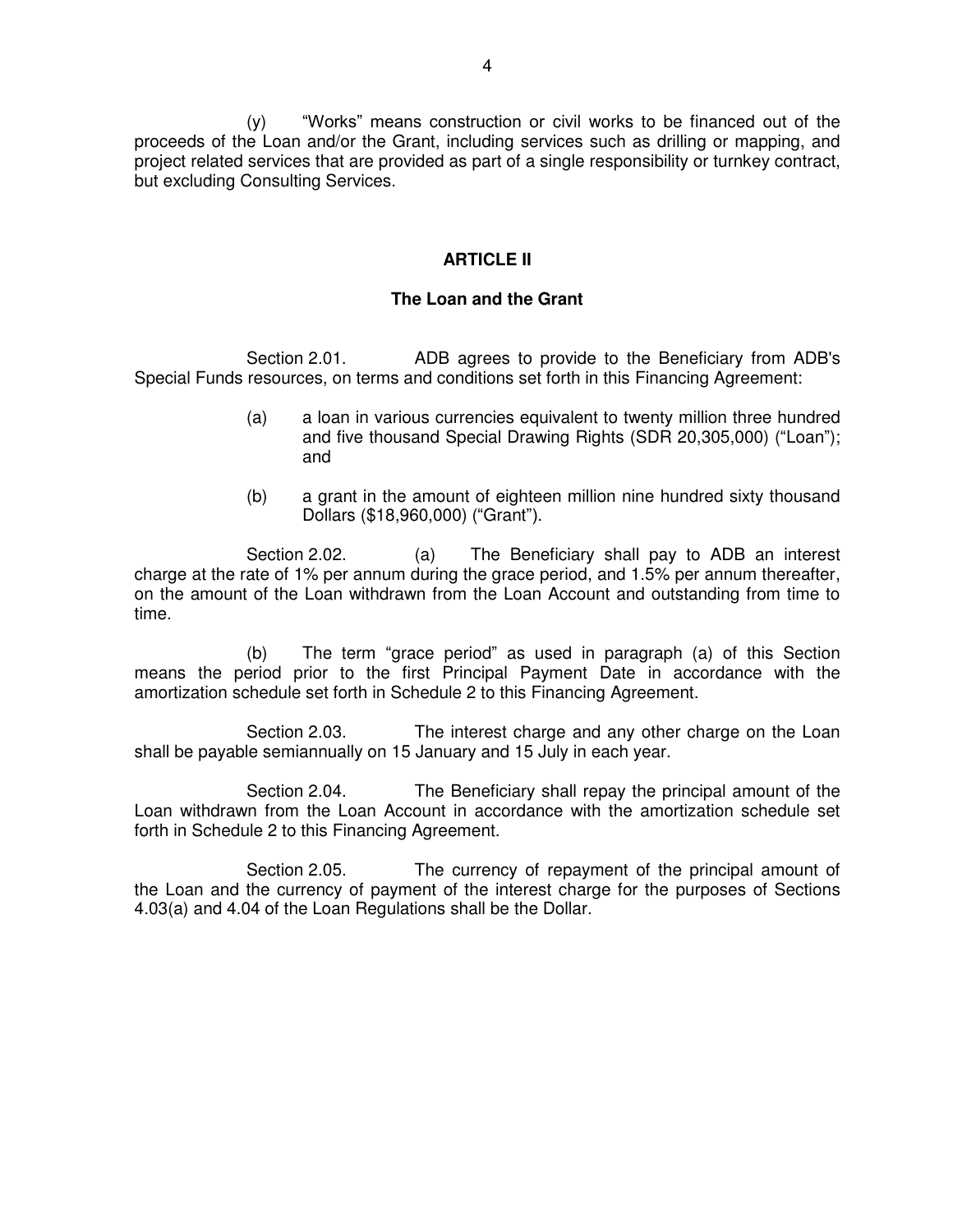(y) "Works" means construction or civil works to be financed out of the proceeds of the Loan and/or the Grant, including services such as drilling or mapping, and project related services that are provided as part of a single responsibility or turnkey contract, but excluding Consulting Services.

#### **ARTICLE II**

#### **The Loan and the Grant**

Section 2.01. ADB agrees to provide to the Beneficiary from ADB's Special Funds resources, on terms and conditions set forth in this Financing Agreement:

- (a) a loan in various currencies equivalent to twenty million three hundred and five thousand Special Drawing Rights (SDR 20,305,000) ("Loan"); and
- (b) a grant in the amount of eighteen million nine hundred sixty thousand Dollars (\$18,960,000) ("Grant").

Section 2.02. (a) The Beneficiary shall pay to ADB an interest charge at the rate of 1% per annum during the grace period, and 1.5% per annum thereafter, on the amount of the Loan withdrawn from the Loan Account and outstanding from time to time.

(b) The term "grace period" as used in paragraph (a) of this Section means the period prior to the first Principal Payment Date in accordance with the amortization schedule set forth in Schedule 2 to this Financing Agreement.

Section 2.03. The interest charge and any other charge on the Loan shall be payable semiannually on 15 January and 15 July in each year.

Section 2.04. The Beneficiary shall repay the principal amount of the Loan withdrawn from the Loan Account in accordance with the amortization schedule set forth in Schedule 2 to this Financing Agreement.

Section 2.05. The currency of repayment of the principal amount of the Loan and the currency of payment of the interest charge for the purposes of Sections 4.03(a) and 4.04 of the Loan Regulations shall be the Dollar.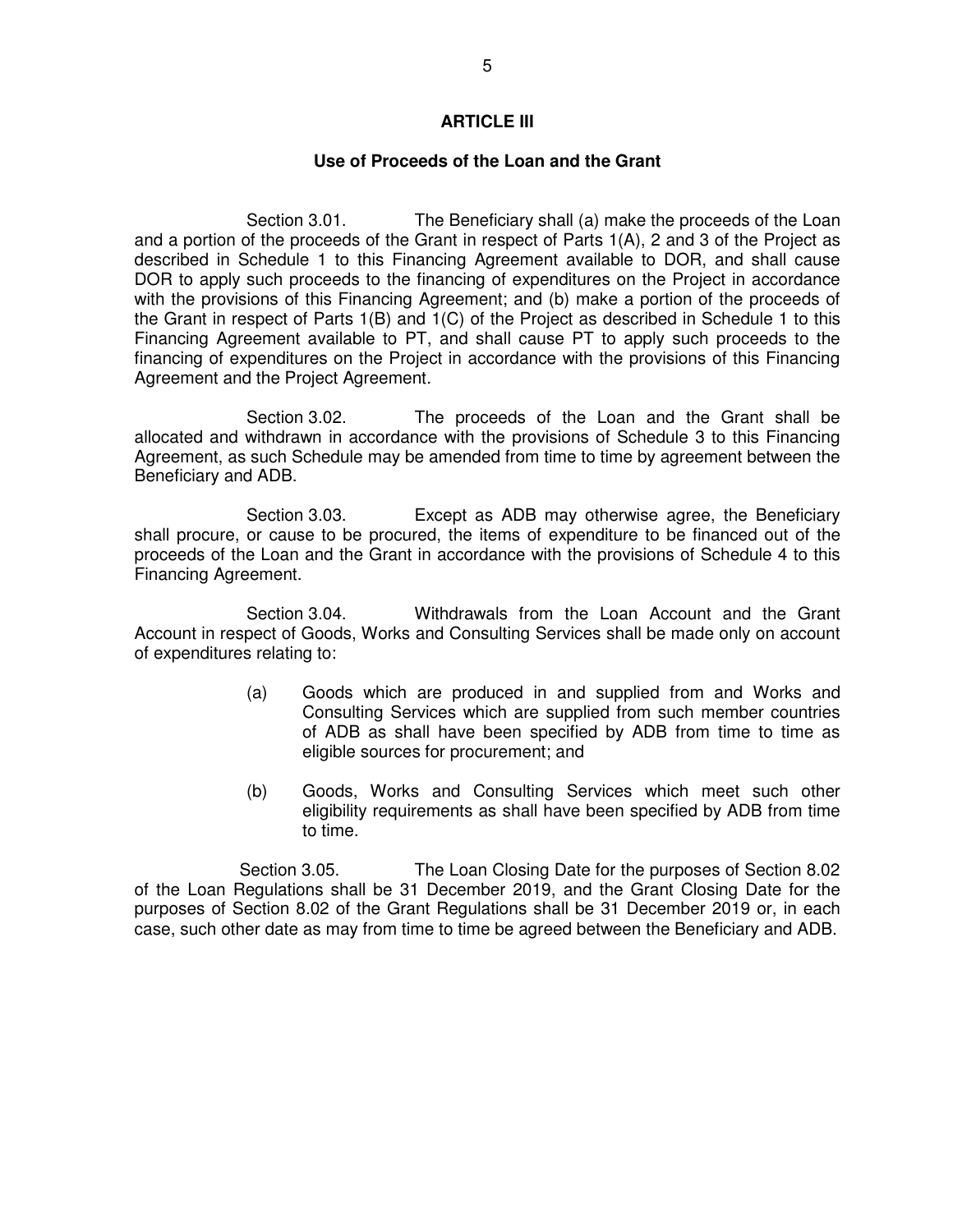#### **ARTICLE III**

#### **Use of Proceeds of the Loan and the Grant**

Section 3.01. The Beneficiary shall (a) make the proceeds of the Loan and a portion of the proceeds of the Grant in respect of Parts 1(A), 2 and 3 of the Project as described in Schedule 1 to this Financing Agreement available to DOR, and shall cause DOR to apply such proceeds to the financing of expenditures on the Project in accordance with the provisions of this Financing Agreement; and (b) make a portion of the proceeds of the Grant in respect of Parts 1(B) and 1(C) of the Project as described in Schedule 1 to this Financing Agreement available to PT, and shall cause PT to apply such proceeds to the financing of expenditures on the Project in accordance with the provisions of this Financing Agreement and the Project Agreement.

Section 3.02. The proceeds of the Loan and the Grant shall be allocated and withdrawn in accordance with the provisions of Schedule 3 to this Financing Agreement, as such Schedule may be amended from time to time by agreement between the Beneficiary and ADB.

Section 3.03. Except as ADB may otherwise agree, the Beneficiary shall procure, or cause to be procured, the items of expenditure to be financed out of the proceeds of the Loan and the Grant in accordance with the provisions of Schedule 4 to this Financing Agreement.

Section 3.04. Withdrawals from the Loan Account and the Grant Account in respect of Goods, Works and Consulting Services shall be made only on account of expenditures relating to:

- (a) Goods which are produced in and supplied from and Works and Consulting Services which are supplied from such member countries of ADB as shall have been specified by ADB from time to time as eligible sources for procurement; and
- (b) Goods, Works and Consulting Services which meet such other eligibility requirements as shall have been specified by ADB from time to time.

Section 3.05. The Loan Closing Date for the purposes of Section 8.02 of the Loan Regulations shall be 31 December 2019, and the Grant Closing Date for the purposes of Section 8.02 of the Grant Regulations shall be 31 December 2019 or, in each case, such other date as may from time to time be agreed between the Beneficiary and ADB.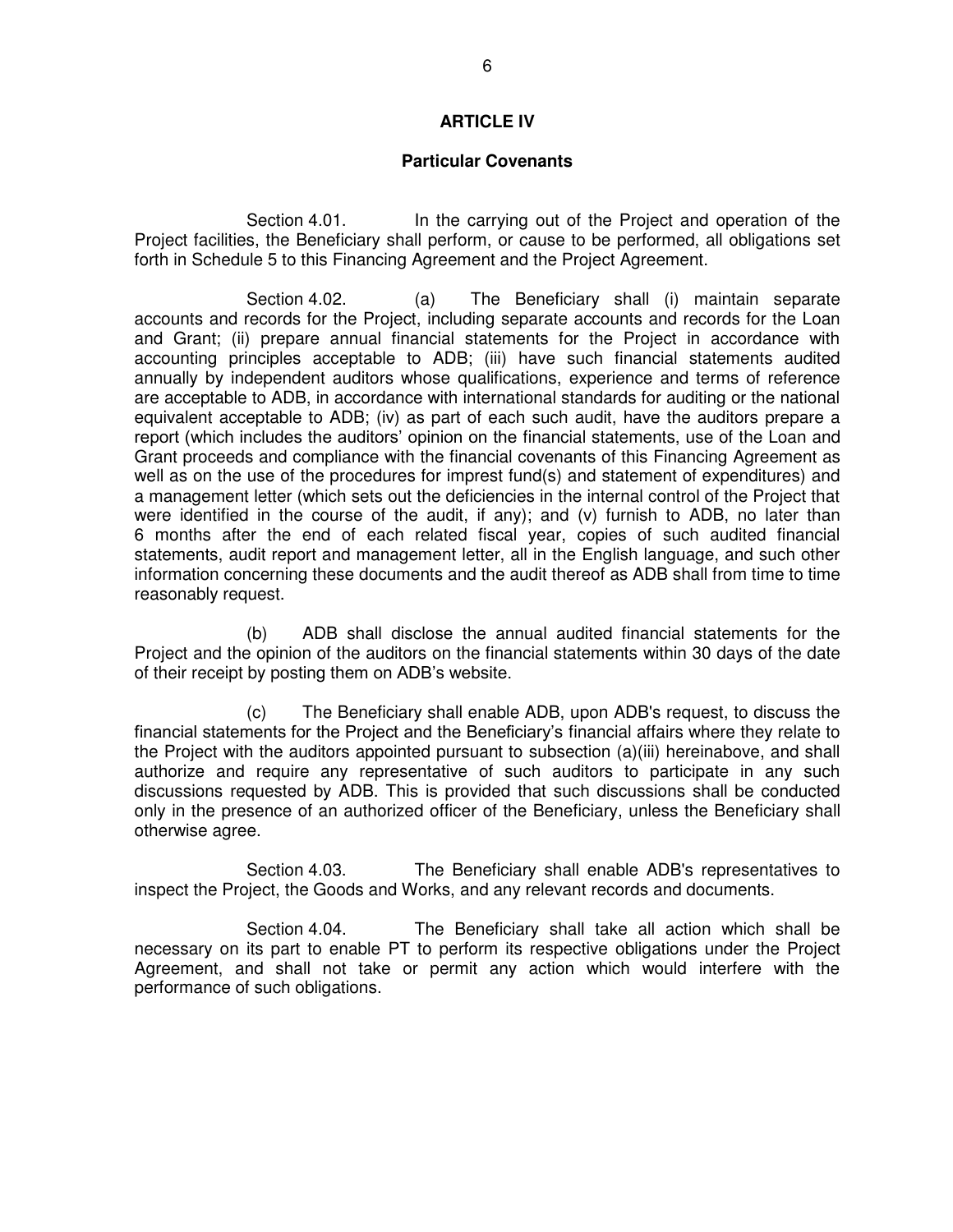#### **ARTICLE IV**

#### **Particular Covenants**

Section 4.01. In the carrying out of the Project and operation of the Project facilities, the Beneficiary shall perform, or cause to be performed, all obligations set forth in Schedule 5 to this Financing Agreement and the Project Agreement.

Section 4.02. (a) The Beneficiary shall (i) maintain separate accounts and records for the Project, including separate accounts and records for the Loan and Grant; (ii) prepare annual financial statements for the Project in accordance with accounting principles acceptable to ADB; (iii) have such financial statements audited annually by independent auditors whose qualifications, experience and terms of reference are acceptable to ADB, in accordance with international standards for auditing or the national equivalent acceptable to ADB; (iv) as part of each such audit, have the auditors prepare a report (which includes the auditors' opinion on the financial statements, use of the Loan and Grant proceeds and compliance with the financial covenants of this Financing Agreement as well as on the use of the procedures for imprest fund(s) and statement of expenditures) and a management letter (which sets out the deficiencies in the internal control of the Project that were identified in the course of the audit, if any); and (v) furnish to ADB, no later than 6 months after the end of each related fiscal year, copies of such audited financial statements, audit report and management letter, all in the English language, and such other information concerning these documents and the audit thereof as ADB shall from time to time reasonably request.

 (b) ADB shall disclose the annual audited financial statements for the Project and the opinion of the auditors on the financial statements within 30 days of the date of their receipt by posting them on ADB's website.

 (c) The Beneficiary shall enable ADB, upon ADB's request, to discuss the financial statements for the Project and the Beneficiary's financial affairs where they relate to the Project with the auditors appointed pursuant to subsection (a)(iii) hereinabove, and shall authorize and require any representative of such auditors to participate in any such discussions requested by ADB. This is provided that such discussions shall be conducted only in the presence of an authorized officer of the Beneficiary, unless the Beneficiary shall otherwise agree.

Section 4.03. The Beneficiary shall enable ADB's representatives to inspect the Project, the Goods and Works, and any relevant records and documents.

Section 4.04. The Beneficiary shall take all action which shall be necessary on its part to enable PT to perform its respective obligations under the Project Agreement, and shall not take or permit any action which would interfere with the performance of such obligations.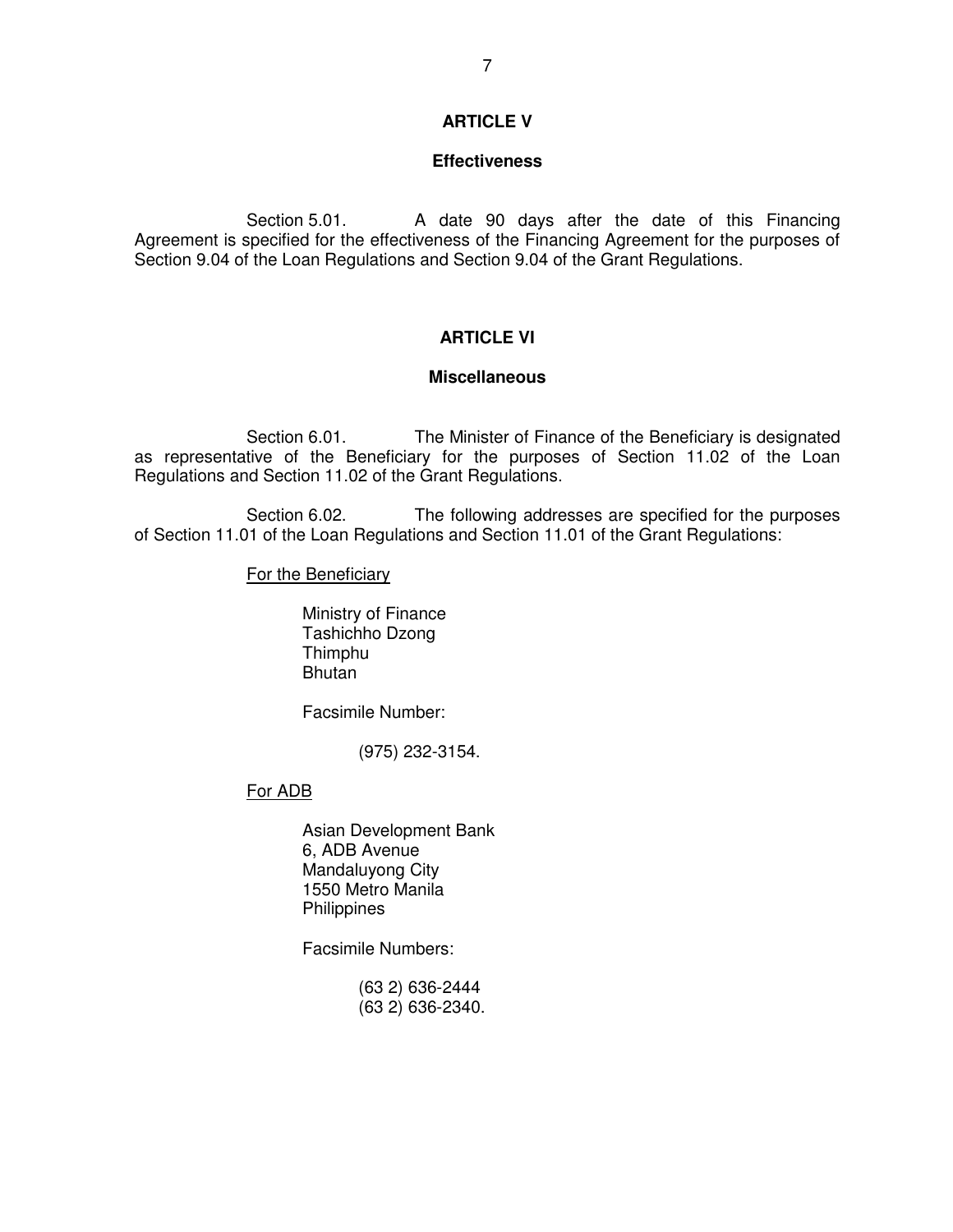### **ARTICLE V**

#### **Effectiveness**

Section 5.01. A date 90 days after the date of this Financing Agreement is specified for the effectiveness of the Financing Agreement for the purposes of Section 9.04 of the Loan Regulations and Section 9.04 of the Grant Regulations.

# **ARTICLE VI**

#### **Miscellaneous**

Section 6.01. The Minister of Finance of the Beneficiary is designated as representative of the Beneficiary for the purposes of Section 11.02 of the Loan Regulations and Section 11.02 of the Grant Regulations.

Section 6.02. The following addresses are specified for the purposes of Section 11.01 of the Loan Regulations and Section 11.01 of the Grant Regulations:

For the Beneficiary

 Ministry of Finance Tashichho Dzong **Thimphu** Bhutan

Facsimile Number:

(975) 232-3154.

### For ADB

 Asian Development Bank 6, ADB Avenue Mandaluyong City 1550 Metro Manila **Philippines** 

Facsimile Numbers:

 (63 2) 636-2444 (63 2) 636-2340.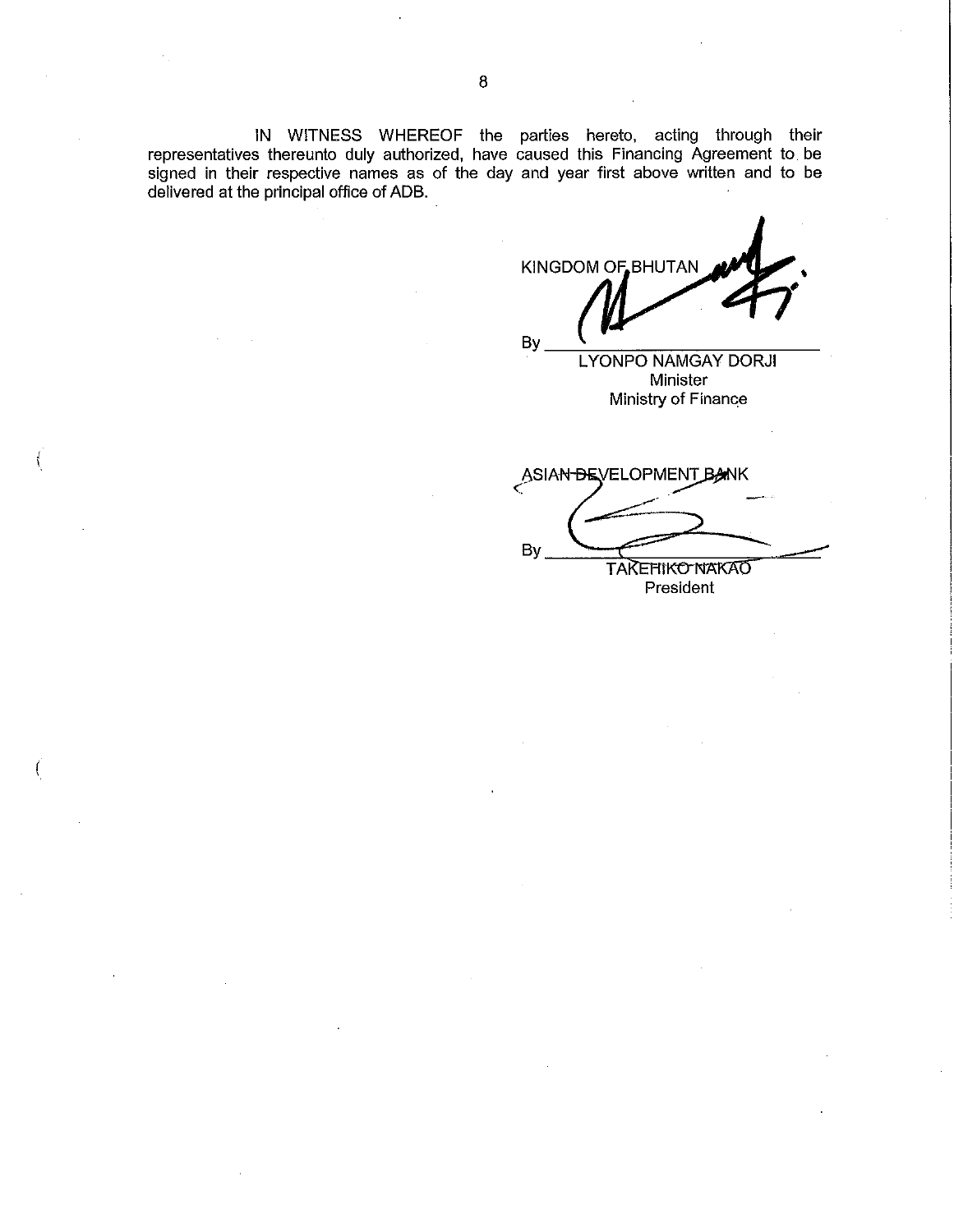IN WITNESS WHEREOF the parties hereto, acting through their<br>representatives thereunto duly authorized, have caused this Financing Agreement to be signed in their respective names as of the day and year first above written and to be delivered at the principal office of ADB.

KINGDOM OF BHUTAN By

**LYONPO NAMGAY DORJI** Minister Ministry of Finance

ASIAN-BEVELOPMEN **BANK** By **TAKEHIKO NAKAO** President

8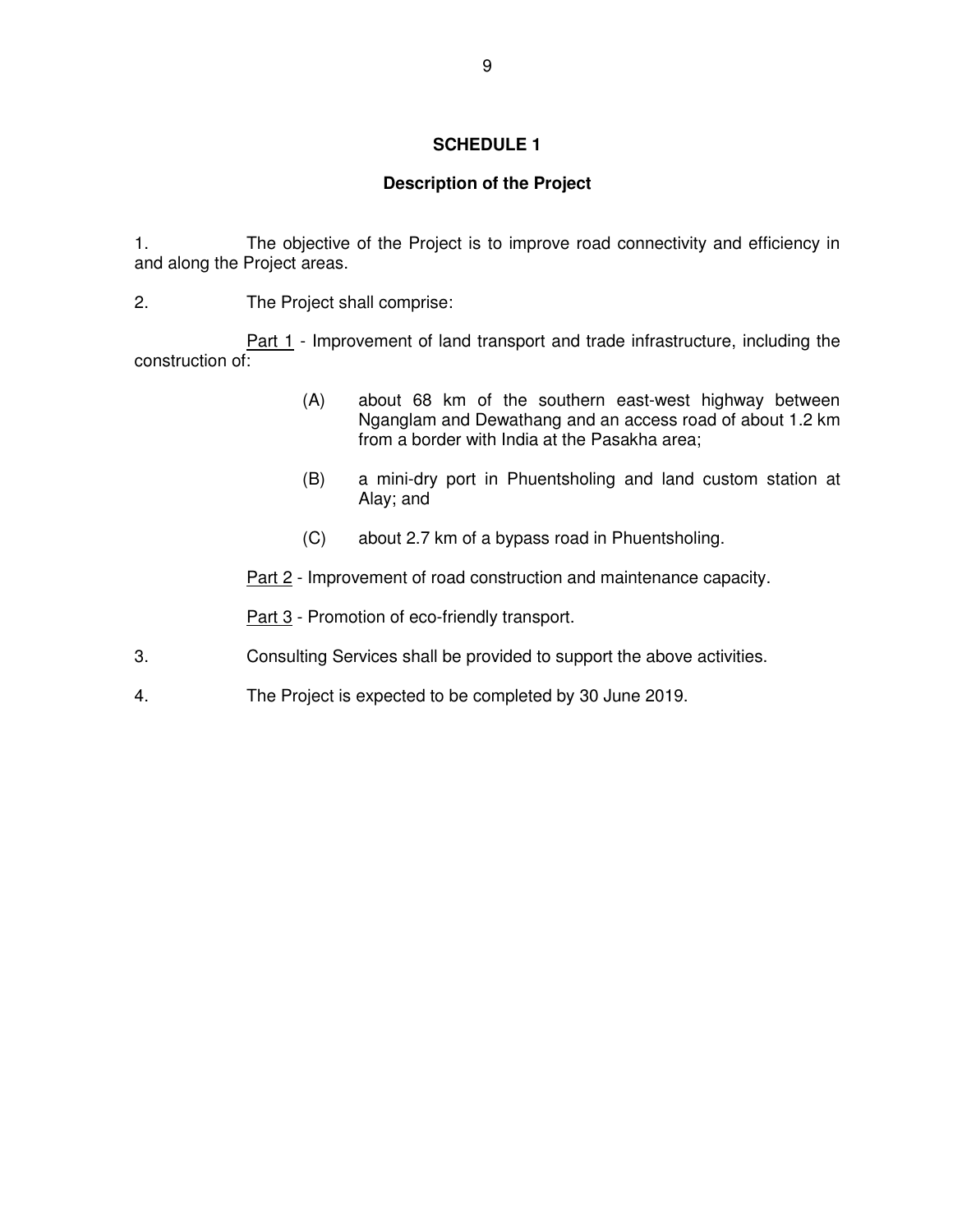### **Description of the Project**

1. The objective of the Project is to improve road connectivity and efficiency in and along the Project areas.

2. The Project shall comprise:

Part 1 - Improvement of land transport and trade infrastructure, including the construction of:

- (A) about 68 km of the southern east-west highway between Nganglam and Dewathang and an access road of about 1.2 km from a border with India at the Pasakha area;
- (B) a mini-dry port in Phuentsholing and land custom station at Alay; and
- (C) about 2.7 km of a bypass road in Phuentsholing.
- Part 2 Improvement of road construction and maintenance capacity.

Part 3 - Promotion of eco-friendly transport.

- 3. Consulting Services shall be provided to support the above activities.
- 4. The Project is expected to be completed by 30 June 2019.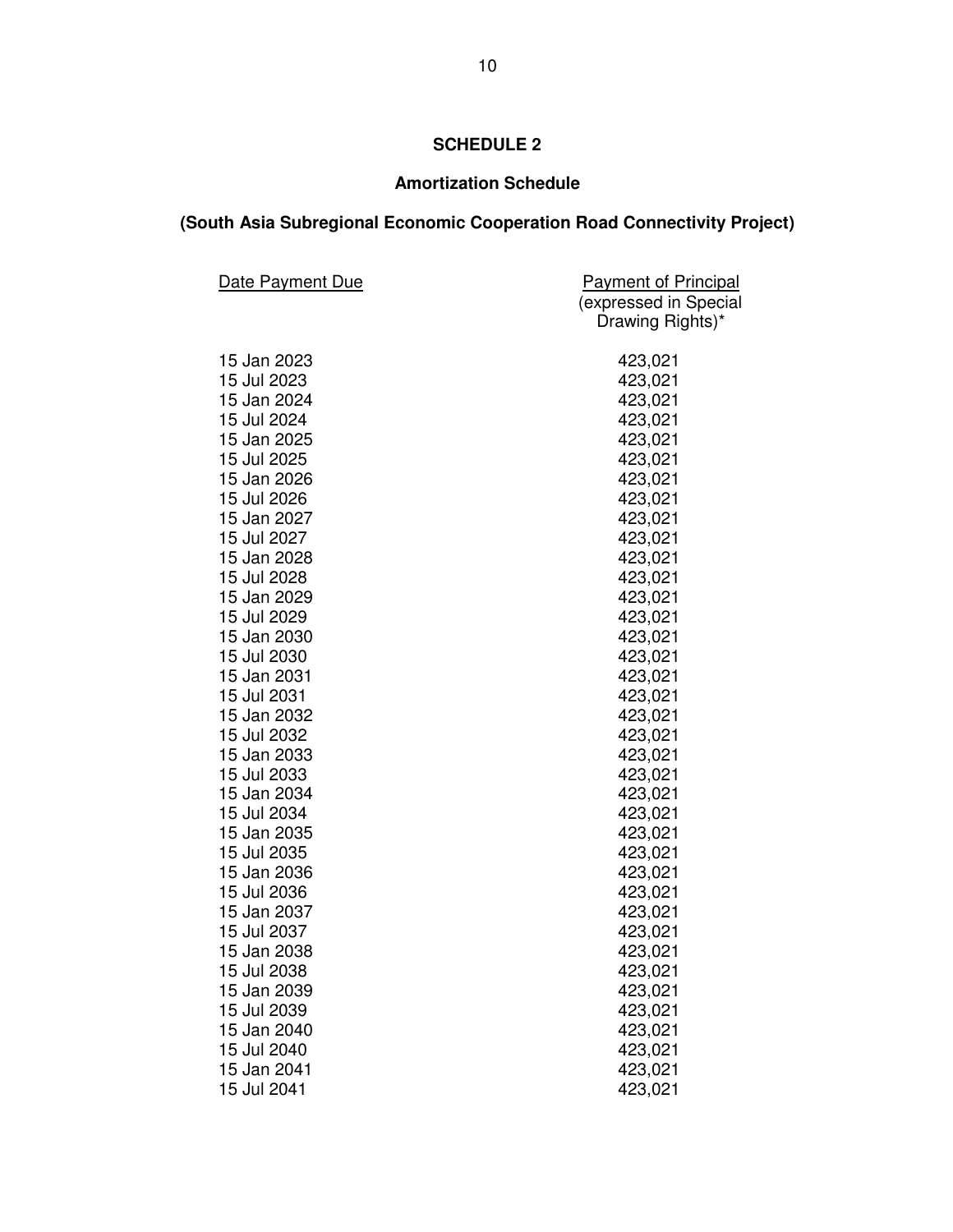# **Amortization Schedule**

# **(South Asia Subregional Economic Cooperation Road Connectivity Project)**

| <b>Date Payment Due</b> | <b>Payment of Principal</b> |
|-------------------------|-----------------------------|
|                         | (expressed in Special       |
|                         | Drawing Rights)*            |
| 15 Jan 2023             | 423,021                     |
| 15 Jul 2023             | 423,021                     |
| 15 Jan 2024             | 423,021                     |
| 15 Jul 2024             | 423,021                     |
| 15 Jan 2025             | 423,021                     |
| 15 Jul 2025             | 423,021                     |
| 15 Jan 2026             | 423,021                     |
| 15 Jul 2026             | 423,021                     |
| 15 Jan 2027             | 423,021                     |
| 15 Jul 2027             | 423,021                     |
| 15 Jan 2028             | 423,021                     |
| 15 Jul 2028             | 423,021                     |
| 15 Jan 2029             | 423,021                     |
| 15 Jul 2029             | 423,021                     |
| 15 Jan 2030             | 423,021                     |
| 15 Jul 2030             | 423,021                     |
| 15 Jan 2031             | 423,021                     |
| 15 Jul 2031             | 423,021                     |
| 15 Jan 2032             | 423,021                     |
| 15 Jul 2032             | 423,021                     |
| 15 Jan 2033             | 423,021                     |
| 15 Jul 2033             | 423,021                     |
| 15 Jan 2034             | 423,021                     |
| 15 Jul 2034             | 423,021                     |
| 15 Jan 2035             | 423,021                     |
| 15 Jul 2035             | 423,021                     |
| 15 Jan 2036             | 423,021                     |
| 15 Jul 2036             | 423,021                     |
| 15 Jan 2037             | 423,021                     |
| 15 Jul 2037             | 423,021                     |
| 15 Jan 2038             | 423,021                     |
| 15 Jul 2038             | 423,021                     |
| 15 Jan 2039             | 423,021                     |
| 15 Jul 2039             | 423,021                     |
| 15 Jan 2040             | 423,021                     |
| 15 Jul 2040             | 423,021                     |
| 15 Jan 2041             | 423,021                     |
| 15 Jul 2041             | 423,021                     |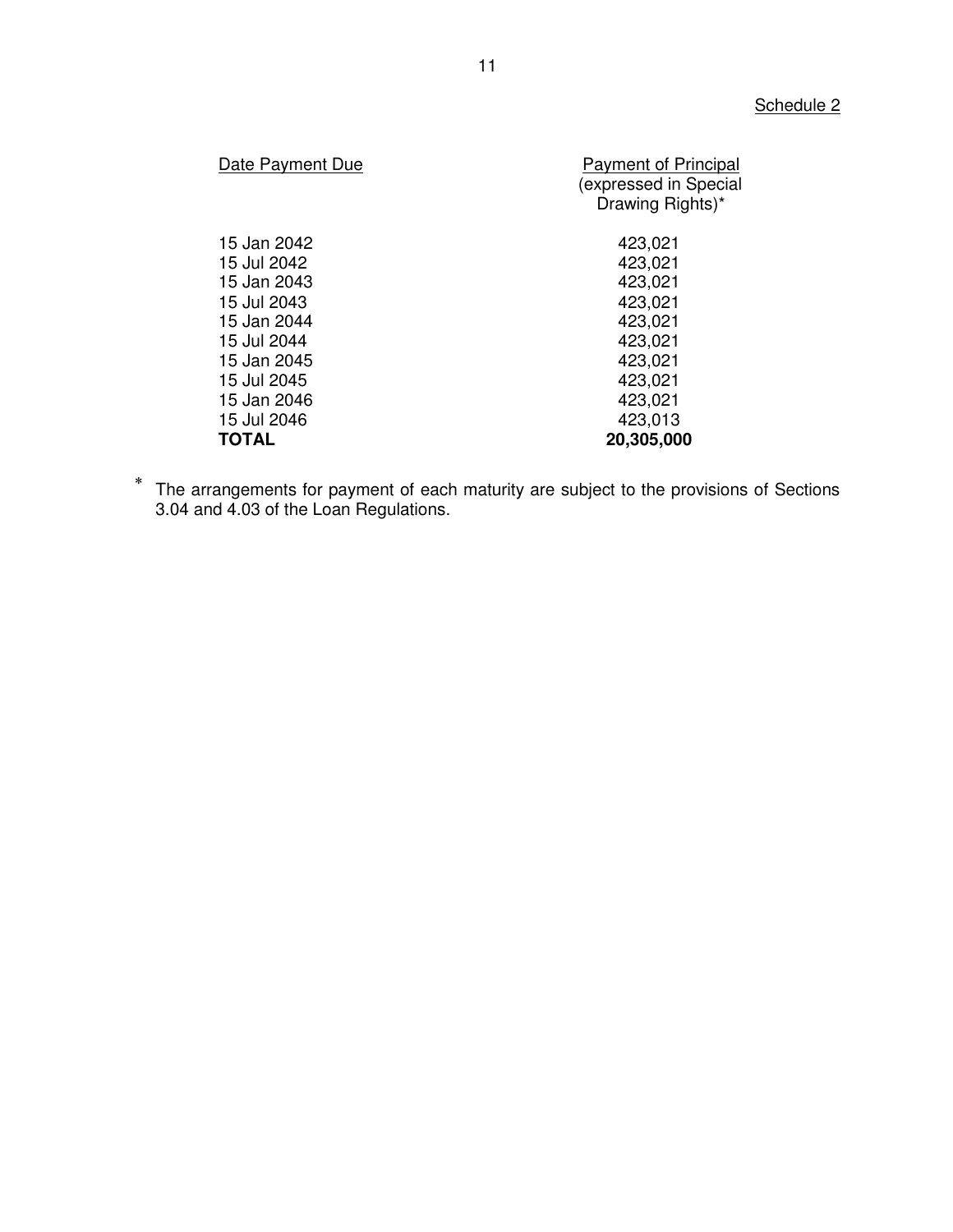| Date Payment Due | <b>Payment of Principal</b><br>(expressed in Special<br>Drawing Rights)* |
|------------------|--------------------------------------------------------------------------|
| 15 Jan 2042      | 423,021                                                                  |
| 15 Jul 2042      | 423,021                                                                  |
| 15 Jan 2043      | 423,021                                                                  |
| 15 Jul 2043      | 423,021                                                                  |
| 15 Jan 2044      | 423,021                                                                  |
| 15 Jul 2044      | 423,021                                                                  |
| 15 Jan 2045      | 423,021                                                                  |
| 15 Jul 2045      | 423,021                                                                  |
| 15 Jan 2046      | 423,021                                                                  |
| 15 Jul 2046      | 423,013                                                                  |
| <b>TOTAL</b>     | 20,305,000                                                               |

 $\ast$  The arrangements for payment of each maturity are subject to the provisions of Sections 3.04 and 4.03 of the Loan Regulations.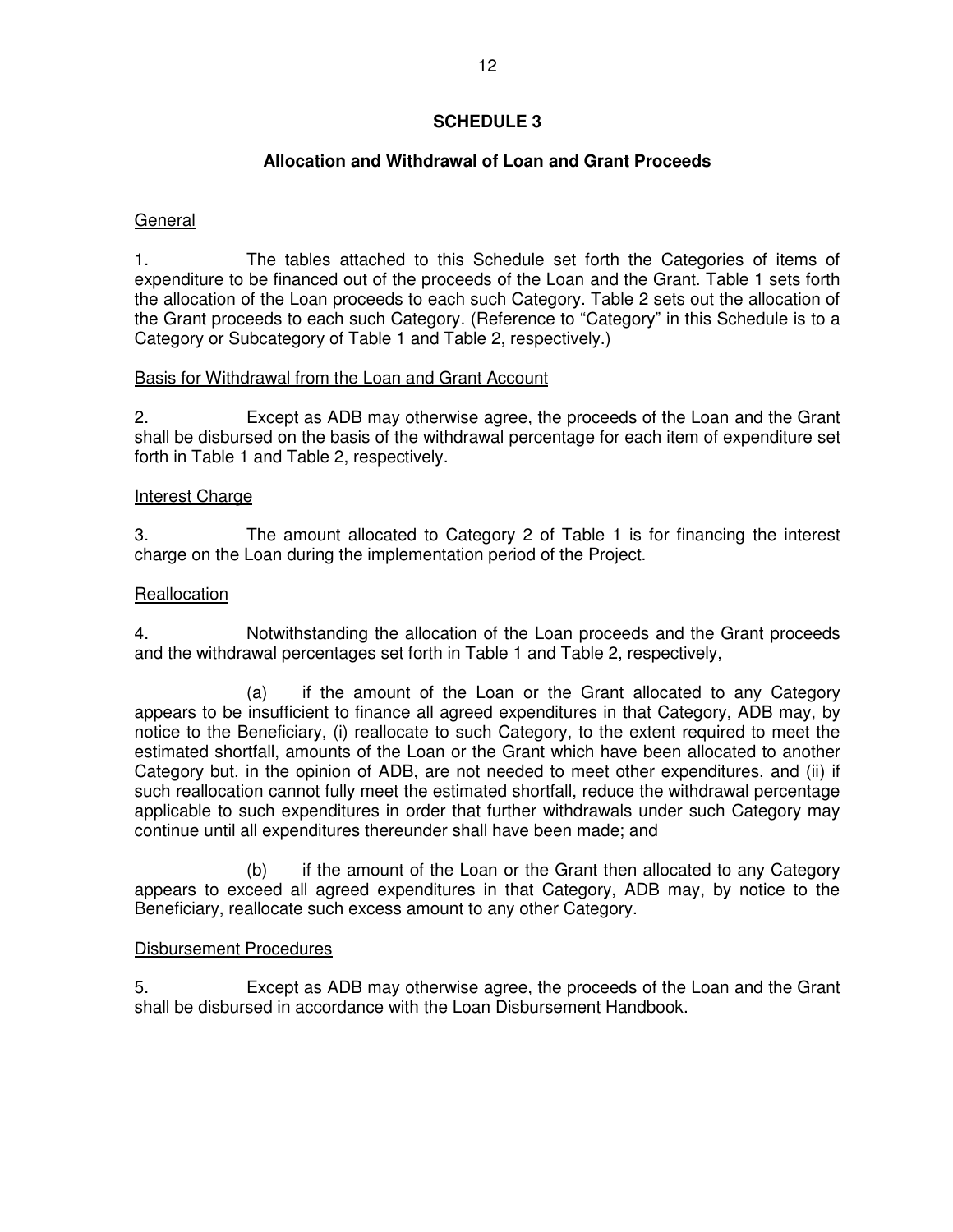# **Allocation and Withdrawal of Loan and Grant Proceeds**

### General

1. The tables attached to this Schedule set forth the Categories of items of expenditure to be financed out of the proceeds of the Loan and the Grant. Table 1 sets forth the allocation of the Loan proceeds to each such Category. Table 2 sets out the allocation of the Grant proceeds to each such Category. (Reference to "Category" in this Schedule is to a Category or Subcategory of Table 1 and Table 2, respectively.)

### Basis for Withdrawal from the Loan and Grant Account

2. Except as ADB may otherwise agree, the proceeds of the Loan and the Grant shall be disbursed on the basis of the withdrawal percentage for each item of expenditure set forth in Table 1 and Table 2, respectively.

### Interest Charge

3. The amount allocated to Category 2 of Table 1 is for financing the interest charge on the Loan during the implementation period of the Project.

### **Reallocation**

4. Notwithstanding the allocation of the Loan proceeds and the Grant proceeds and the withdrawal percentages set forth in Table 1 and Table 2, respectively,

 (a) if the amount of the Loan or the Grant allocated to any Category appears to be insufficient to finance all agreed expenditures in that Category, ADB may, by notice to the Beneficiary, (i) reallocate to such Category, to the extent required to meet the estimated shortfall, amounts of the Loan or the Grant which have been allocated to another Category but, in the opinion of ADB, are not needed to meet other expenditures, and (ii) if such reallocation cannot fully meet the estimated shortfall, reduce the withdrawal percentage applicable to such expenditures in order that further withdrawals under such Category may continue until all expenditures thereunder shall have been made; and

 (b) if the amount of the Loan or the Grant then allocated to any Category appears to exceed all agreed expenditures in that Category, ADB may, by notice to the Beneficiary, reallocate such excess amount to any other Category.

### Disbursement Procedures

5. Except as ADB may otherwise agree, the proceeds of the Loan and the Grant shall be disbursed in accordance with the Loan Disbursement Handbook.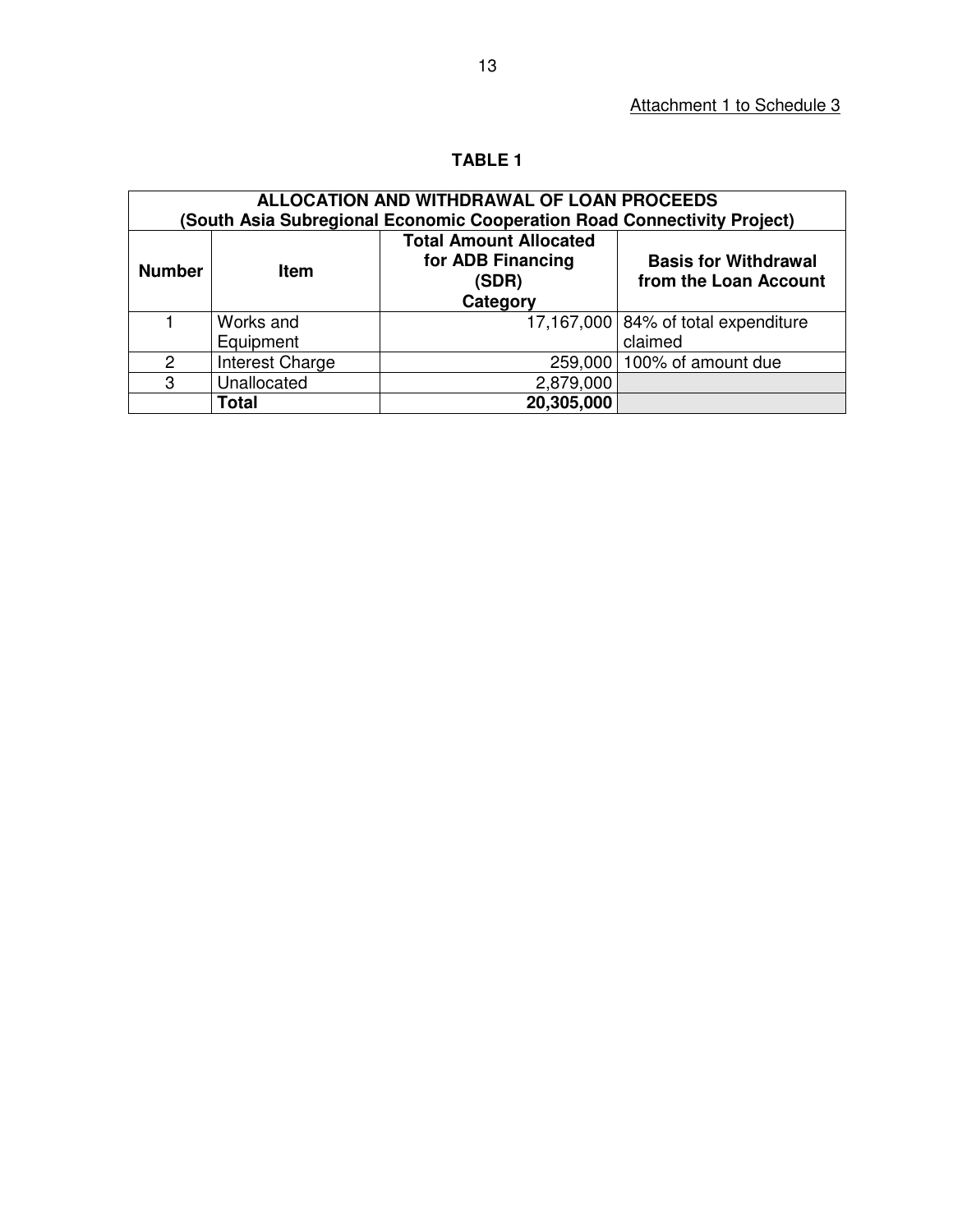# **TABLE 1**

| ALLOCATION AND WITHDRAWAL OF LOAN PROCEEDS<br>(South Asia Subregional Economic Cooperation Road Connectivity Project) |                 |                                                                         |                                                      |  |  |
|-----------------------------------------------------------------------------------------------------------------------|-----------------|-------------------------------------------------------------------------|------------------------------------------------------|--|--|
| <b>Number</b>                                                                                                         | <b>Item</b>     | <b>Total Amount Allocated</b><br>for ADB Financing<br>(SDR)<br>Category | <b>Basis for Withdrawal</b><br>from the Loan Account |  |  |
|                                                                                                                       | Works and       |                                                                         | 17,167,000 84% of total expenditure                  |  |  |
|                                                                                                                       | Equipment       |                                                                         | claimed                                              |  |  |
| 2                                                                                                                     | Interest Charge |                                                                         | 259,000   100% of amount due                         |  |  |
| 3                                                                                                                     | Unallocated     | 2,879,000                                                               |                                                      |  |  |
|                                                                                                                       | Total           | 20,305,000                                                              |                                                      |  |  |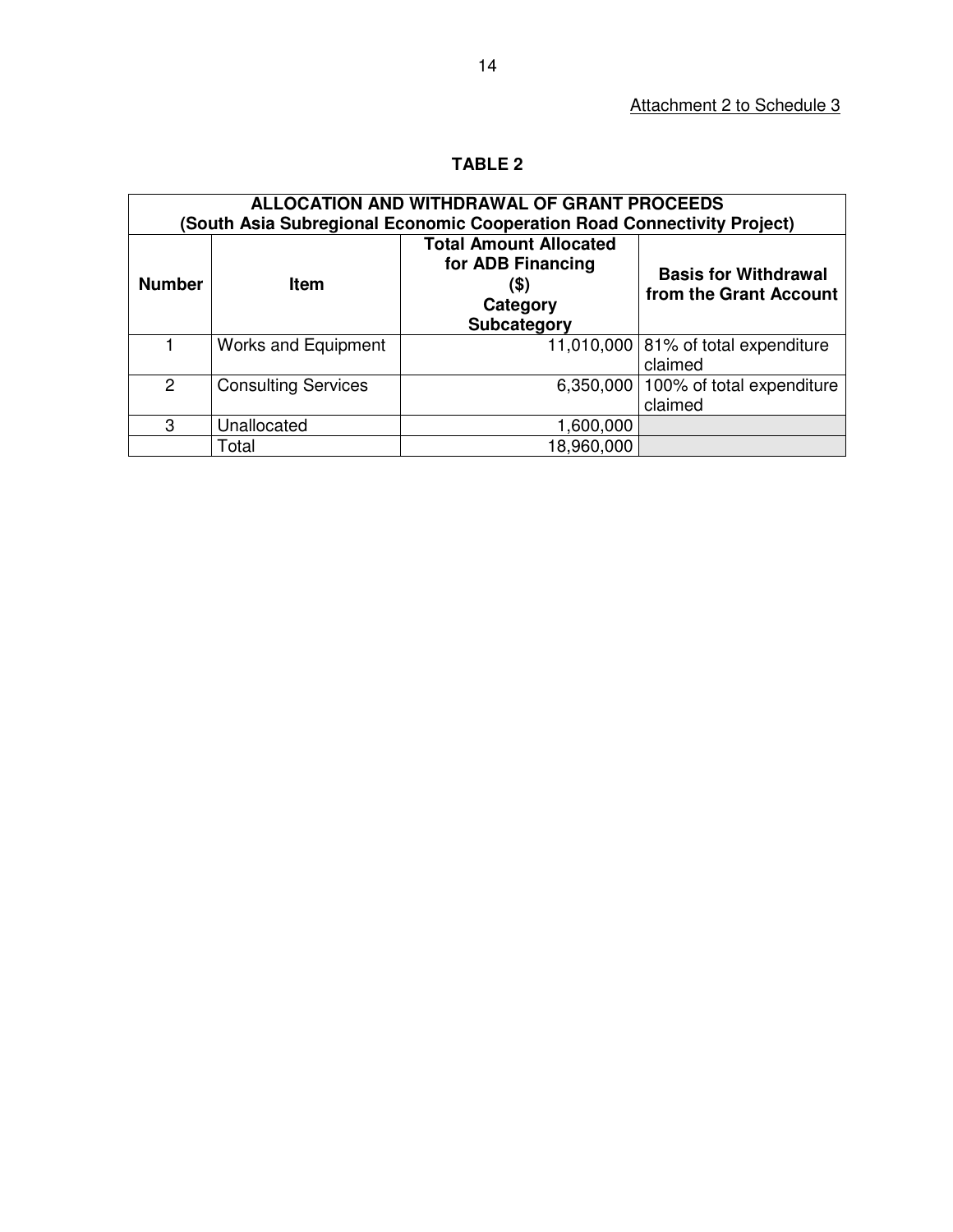# **TABLE 2**

| ALLOCATION AND WITHDRAWAL OF GRANT PROCEEDS<br>(South Asia Subregional Economic Cooperation Road Connectivity Project) |                            |                                                                                              |                                                       |  |  |
|------------------------------------------------------------------------------------------------------------------------|----------------------------|----------------------------------------------------------------------------------------------|-------------------------------------------------------|--|--|
| <b>Number</b>                                                                                                          | <b>Item</b>                | <b>Total Amount Allocated</b><br>for ADB Financing<br>(\$)<br>Category<br><b>Subcategory</b> | <b>Basis for Withdrawal</b><br>from the Grant Account |  |  |
|                                                                                                                        | <b>Works and Equipment</b> |                                                                                              | 11,010,000 $ 81\%$ of total expenditure<br>claimed    |  |  |
| $\overline{2}$                                                                                                         | <b>Consulting Services</b> | 6,350,000                                                                                    | 100% of total expenditure<br>claimed                  |  |  |
| 3                                                                                                                      | Unallocated                | 1,600,000                                                                                    |                                                       |  |  |
|                                                                                                                        | Total                      | 18,960,000                                                                                   |                                                       |  |  |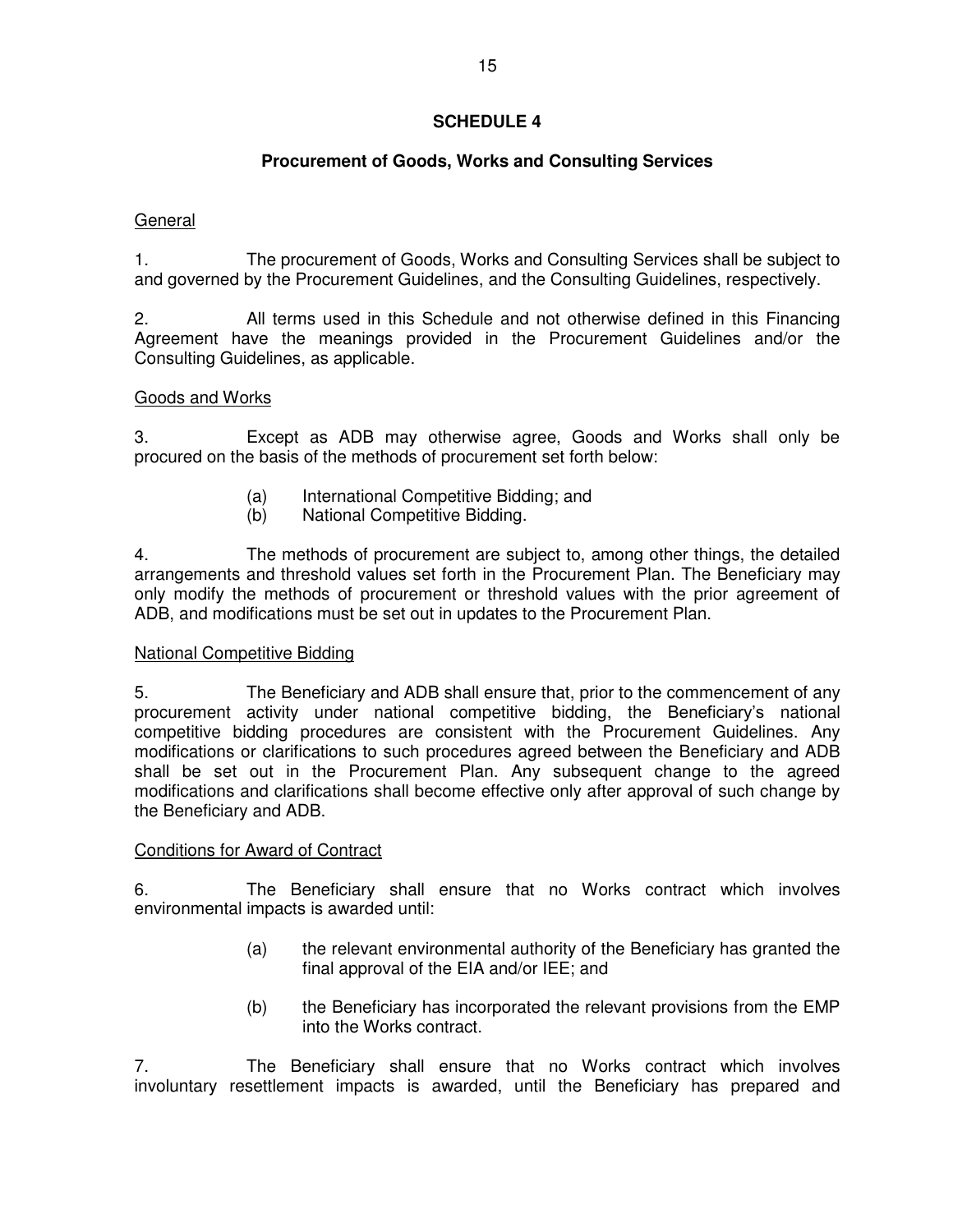# **Procurement of Goods, Works and Consulting Services**

# General

1. The procurement of Goods, Works and Consulting Services shall be subject to and governed by the Procurement Guidelines, and the Consulting Guidelines, respectively.

2. All terms used in this Schedule and not otherwise defined in this Financing Agreement have the meanings provided in the Procurement Guidelines and/or the Consulting Guidelines, as applicable.

# Goods and Works

3. Except as ADB may otherwise agree, Goods and Works shall only be procured on the basis of the methods of procurement set forth below:

- (a) International Competitive Bidding; and
- (b) National Competitive Bidding.

4. The methods of procurement are subject to, among other things, the detailed arrangements and threshold values set forth in the Procurement Plan. The Beneficiary may only modify the methods of procurement or threshold values with the prior agreement of ADB, and modifications must be set out in updates to the Procurement Plan.

# National Competitive Bidding

5. The Beneficiary and ADB shall ensure that, prior to the commencement of any procurement activity under national competitive bidding, the Beneficiary's national competitive bidding procedures are consistent with the Procurement Guidelines. Any modifications or clarifications to such procedures agreed between the Beneficiary and ADB shall be set out in the Procurement Plan. Any subsequent change to the agreed modifications and clarifications shall become effective only after approval of such change by the Beneficiary and ADB.

### Conditions for Award of Contract

6. The Beneficiary shall ensure that no Works contract which involves environmental impacts is awarded until:

- (a) the relevant environmental authority of the Beneficiary has granted the final approval of the EIA and/or IEE; and
- (b) the Beneficiary has incorporated the relevant provisions from the EMP into the Works contract.

7. The Beneficiary shall ensure that no Works contract which involves involuntary resettlement impacts is awarded, until the Beneficiary has prepared and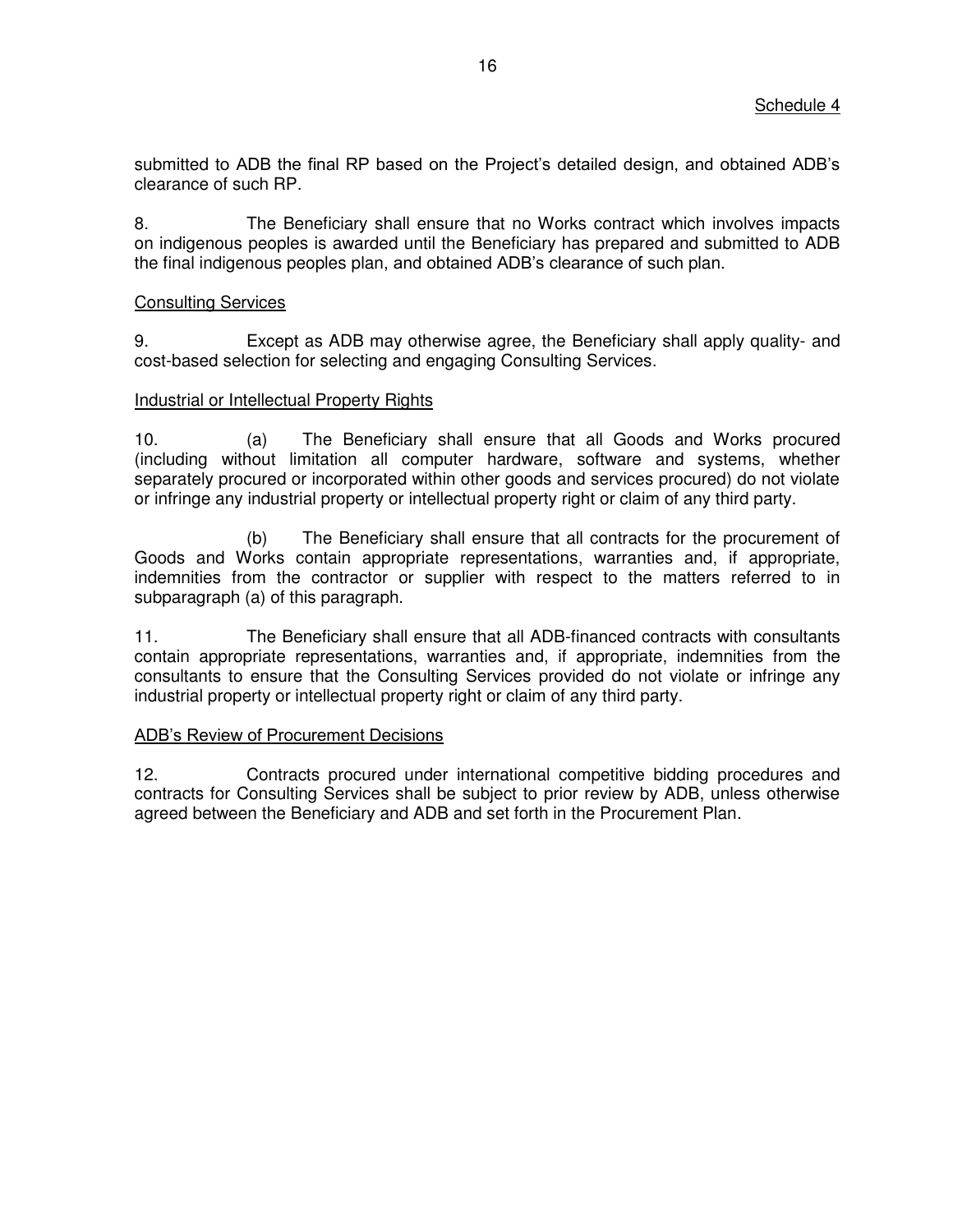submitted to ADB the final RP based on the Project's detailed design, and obtained ADB's clearance of such RP.

8. The Beneficiary shall ensure that no Works contract which involves impacts on indigenous peoples is awarded until the Beneficiary has prepared and submitted to ADB the final indigenous peoples plan, and obtained ADB's clearance of such plan.

### Consulting Services

9. Except as ADB may otherwise agree, the Beneficiary shall apply quality- and cost-based selection for selecting and engaging Consulting Services.

### Industrial or Intellectual Property Rights

10. (a) The Beneficiary shall ensure that all Goods and Works procured (including without limitation all computer hardware, software and systems, whether separately procured or incorporated within other goods and services procured) do not violate or infringe any industrial property or intellectual property right or claim of any third party.

(b) The Beneficiary shall ensure that all contracts for the procurement of Goods and Works contain appropriate representations, warranties and, if appropriate, indemnities from the contractor or supplier with respect to the matters referred to in subparagraph (a) of this paragraph.

11. The Beneficiary shall ensure that all ADB-financed contracts with consultants contain appropriate representations, warranties and, if appropriate, indemnities from the consultants to ensure that the Consulting Services provided do not violate or infringe any industrial property or intellectual property right or claim of any third party.

### ADB's Review of Procurement Decisions

12. Contracts procured under international competitive bidding procedures and contracts for Consulting Services shall be subject to prior review by ADB, unless otherwise agreed between the Beneficiary and ADB and set forth in the Procurement Plan.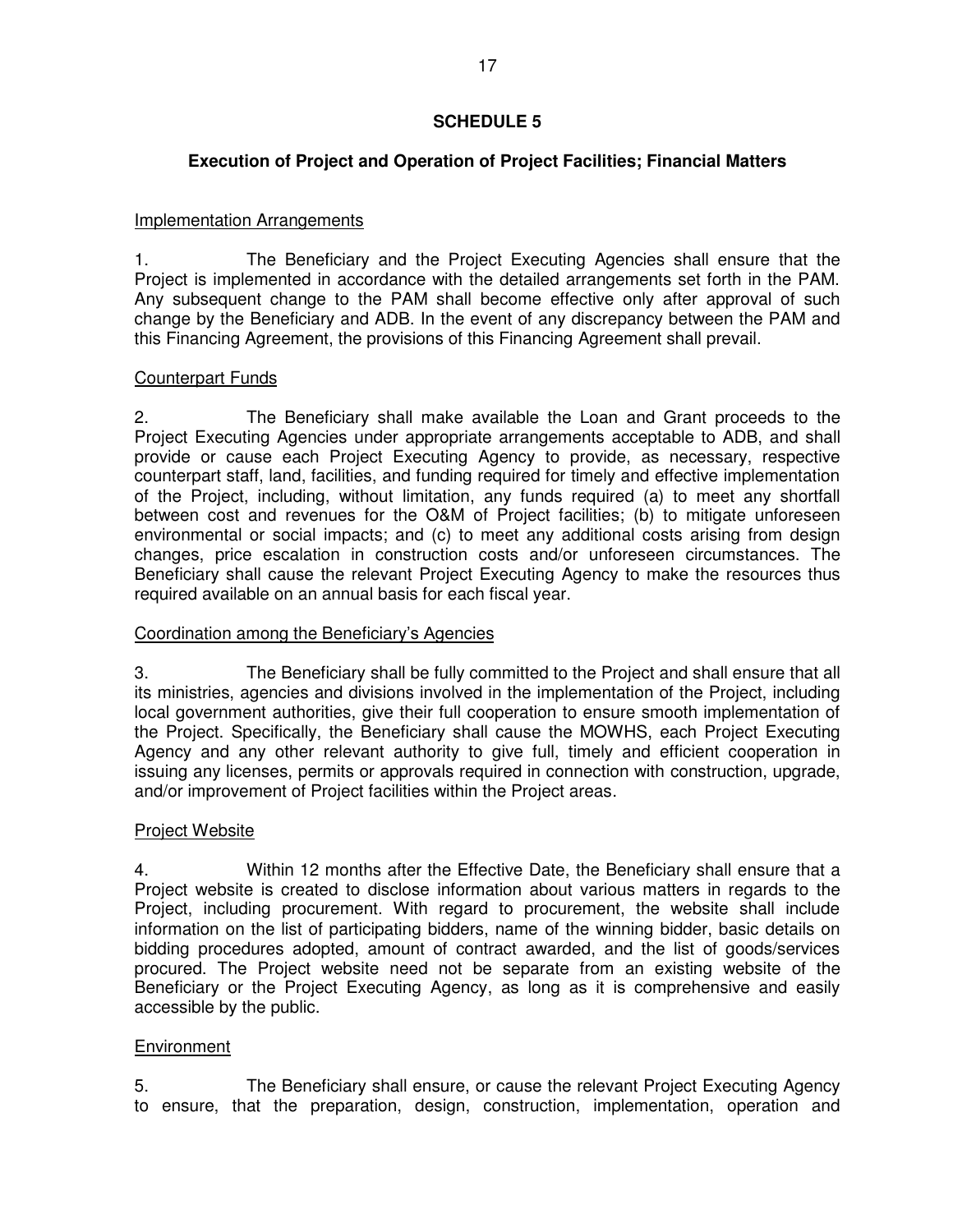# **Execution of Project and Operation of Project Facilities; Financial Matters**

# Implementation Arrangements

1. The Beneficiary and the Project Executing Agencies shall ensure that the Project is implemented in accordance with the detailed arrangements set forth in the PAM. Any subsequent change to the PAM shall become effective only after approval of such change by the Beneficiary and ADB. In the event of any discrepancy between the PAM and this Financing Agreement, the provisions of this Financing Agreement shall prevail.

# Counterpart Funds

2. The Beneficiary shall make available the Loan and Grant proceeds to the Project Executing Agencies under appropriate arrangements acceptable to ADB, and shall provide or cause each Project Executing Agency to provide, as necessary, respective counterpart staff, land, facilities, and funding required for timely and effective implementation of the Project, including, without limitation, any funds required (a) to meet any shortfall between cost and revenues for the O&M of Project facilities; (b) to mitigate unforeseen environmental or social impacts; and (c) to meet any additional costs arising from design changes, price escalation in construction costs and/or unforeseen circumstances. The Beneficiary shall cause the relevant Project Executing Agency to make the resources thus required available on an annual basis for each fiscal year.

# Coordination among the Beneficiary's Agencies

3. The Beneficiary shall be fully committed to the Project and shall ensure that all its ministries, agencies and divisions involved in the implementation of the Project, including local government authorities, give their full cooperation to ensure smooth implementation of the Project. Specifically, the Beneficiary shall cause the MOWHS, each Project Executing Agency and any other relevant authority to give full, timely and efficient cooperation in issuing any licenses, permits or approvals required in connection with construction, upgrade, and/or improvement of Project facilities within the Project areas.

# Project Website

4. Within 12 months after the Effective Date, the Beneficiary shall ensure that a Project website is created to disclose information about various matters in regards to the Project, including procurement. With regard to procurement, the website shall include information on the list of participating bidders, name of the winning bidder, basic details on bidding procedures adopted, amount of contract awarded, and the list of goods/services procured. The Project website need not be separate from an existing website of the Beneficiary or the Project Executing Agency, as long as it is comprehensive and easily accessible by the public.

# **Environment**

5. The Beneficiary shall ensure, or cause the relevant Project Executing Agency to ensure, that the preparation, design, construction, implementation, operation and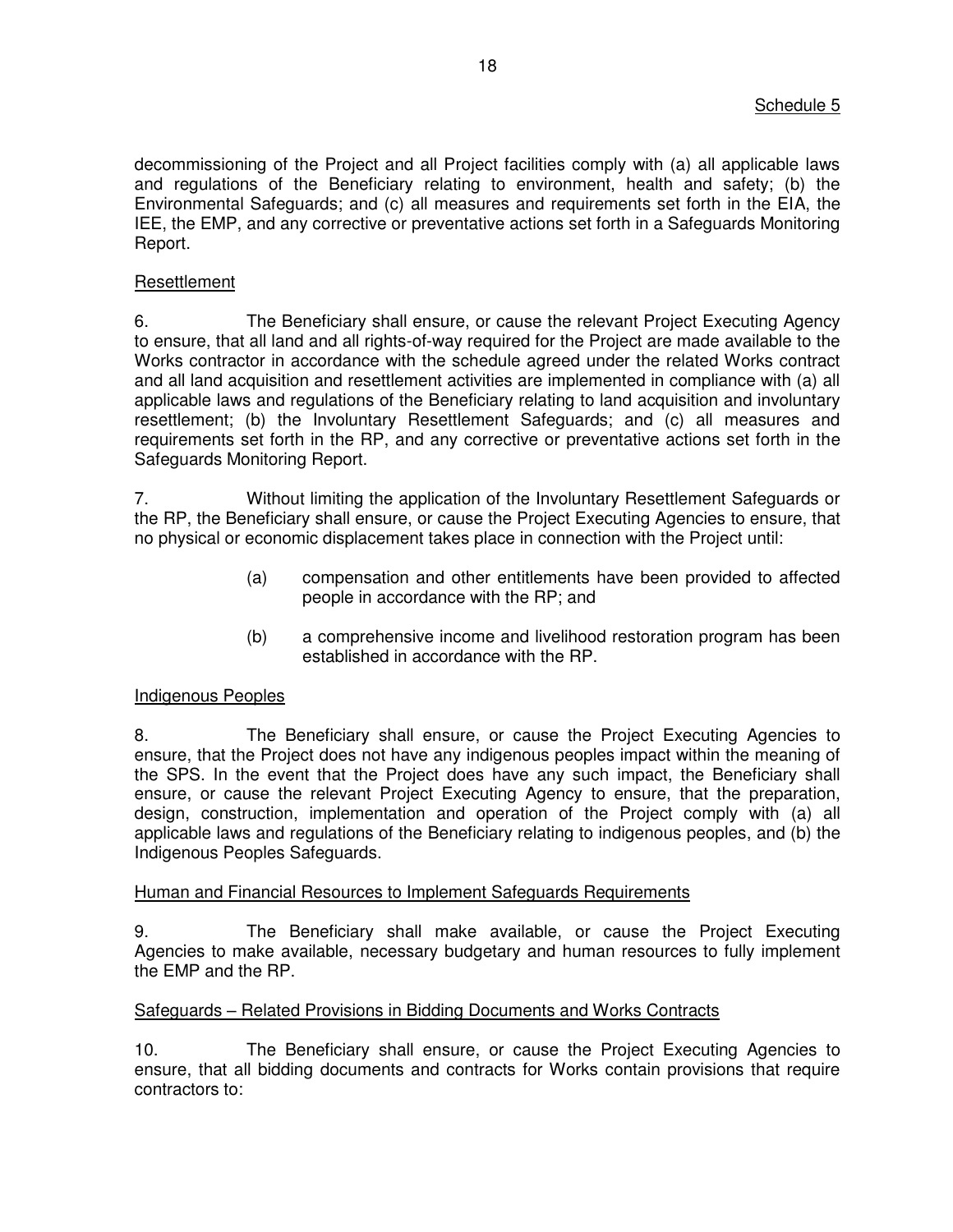decommissioning of the Project and all Project facilities comply with (a) all applicable laws and regulations of the Beneficiary relating to environment, health and safety; (b) the Environmental Safeguards; and (c) all measures and requirements set forth in the EIA, the IEE, the EMP, and any corrective or preventative actions set forth in a Safeguards Monitoring Report.

### Resettlement

6. The Beneficiary shall ensure, or cause the relevant Project Executing Agency to ensure, that all land and all rights-of-way required for the Project are made available to the Works contractor in accordance with the schedule agreed under the related Works contract and all land acquisition and resettlement activities are implemented in compliance with (a) all applicable laws and regulations of the Beneficiary relating to land acquisition and involuntary resettlement; (b) the Involuntary Resettlement Safeguards; and (c) all measures and requirements set forth in the RP, and any corrective or preventative actions set forth in the Safeguards Monitoring Report.

7. Without limiting the application of the Involuntary Resettlement Safeguards or the RP, the Beneficiary shall ensure, or cause the Project Executing Agencies to ensure, that no physical or economic displacement takes place in connection with the Project until:

- (a) compensation and other entitlements have been provided to affected people in accordance with the RP; and
- (b) a comprehensive income and livelihood restoration program has been established in accordance with the RP.

### Indigenous Peoples

8. The Beneficiary shall ensure, or cause the Project Executing Agencies to ensure, that the Project does not have any indigenous peoples impact within the meaning of the SPS. In the event that the Project does have any such impact, the Beneficiary shall ensure, or cause the relevant Project Executing Agency to ensure, that the preparation, design, construction, implementation and operation of the Project comply with (a) all applicable laws and regulations of the Beneficiary relating to indigenous peoples, and (b) the Indigenous Peoples Safeguards.

### Human and Financial Resources to Implement Safeguards Requirements

9. The Beneficiary shall make available, or cause the Project Executing Agencies to make available, necessary budgetary and human resources to fully implement the EMP and the RP.

### Safeguards – Related Provisions in Bidding Documents and Works Contracts

10. The Beneficiary shall ensure, or cause the Project Executing Agencies to ensure, that all bidding documents and contracts for Works contain provisions that require contractors to: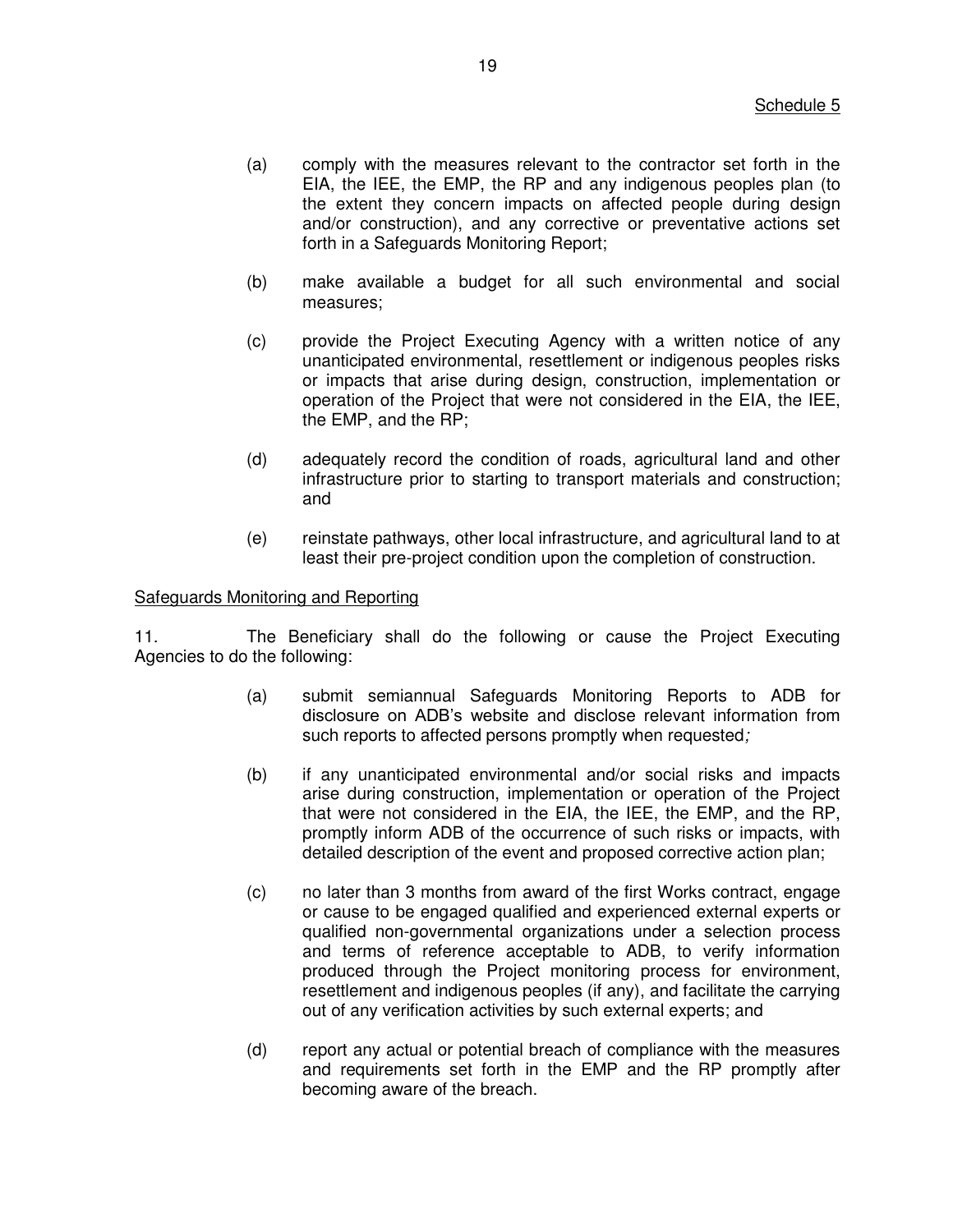- (a) comply with the measures relevant to the contractor set forth in the EIA, the IEE, the EMP, the RP and any indigenous peoples plan (to the extent they concern impacts on affected people during design and/or construction), and any corrective or preventative actions set forth in a Safeguards Monitoring Report;
- (b) make available a budget for all such environmental and social measures;
- (c) provide the Project Executing Agency with a written notice of any unanticipated environmental, resettlement or indigenous peoples risks or impacts that arise during design, construction, implementation or operation of the Project that were not considered in the EIA, the IEE, the EMP, and the RP;
- (d) adequately record the condition of roads, agricultural land and other infrastructure prior to starting to transport materials and construction; and
- (e) reinstate pathways, other local infrastructure, and agricultural land to at least their pre-project condition upon the completion of construction.

#### Safeguards Monitoring and Reporting

11. The Beneficiary shall do the following or cause the Project Executing Agencies to do the following:

- (a) submit semiannual Safeguards Monitoring Reports to ADB for disclosure on ADB's website and disclose relevant information from such reports to affected persons promptly when requested*;*
- (b) if any unanticipated environmental and/or social risks and impacts arise during construction, implementation or operation of the Project that were not considered in the EIA, the IEE, the EMP, and the RP, promptly inform ADB of the occurrence of such risks or impacts, with detailed description of the event and proposed corrective action plan;
- (c) no later than 3 months from award of the first Works contract, engage or cause to be engaged qualified and experienced external experts or qualified non-governmental organizations under a selection process and terms of reference acceptable to ADB, to verify information produced through the Project monitoring process for environment, resettlement and indigenous peoples (if any), and facilitate the carrying out of any verification activities by such external experts; and
- (d) report any actual or potential breach of compliance with the measures and requirements set forth in the EMP and the RP promptly after becoming aware of the breach.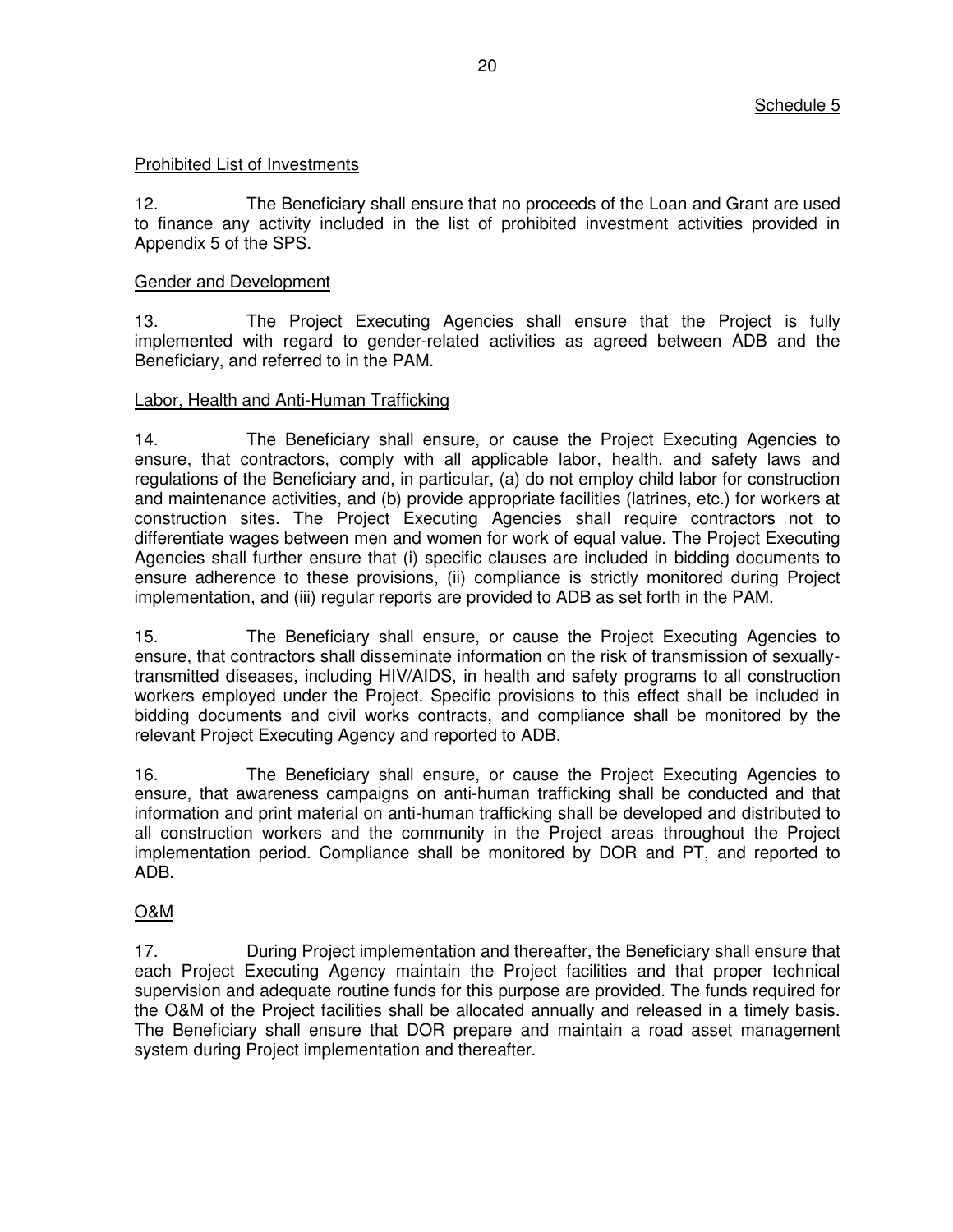### Prohibited List of Investments

12. The Beneficiary shall ensure that no proceeds of the Loan and Grant are used to finance any activity included in the list of prohibited investment activities provided in Appendix 5 of the SPS.

### Gender and Development

13. The Project Executing Agencies shall ensure that the Project is fully implemented with regard to gender-related activities as agreed between ADB and the Beneficiary, and referred to in the PAM.

### Labor, Health and Anti-Human Trafficking

14. The Beneficiary shall ensure, or cause the Project Executing Agencies to ensure, that contractors, comply with all applicable labor, health, and safety laws and regulations of the Beneficiary and, in particular, (a) do not employ child labor for construction and maintenance activities, and (b) provide appropriate facilities (latrines, etc.) for workers at construction sites. The Project Executing Agencies shall require contractors not to differentiate wages between men and women for work of equal value. The Project Executing Agencies shall further ensure that (i) specific clauses are included in bidding documents to ensure adherence to these provisions, (ii) compliance is strictly monitored during Project implementation, and (iii) regular reports are provided to ADB as set forth in the PAM.

15. The Beneficiary shall ensure, or cause the Project Executing Agencies to ensure, that contractors shall disseminate information on the risk of transmission of sexuallytransmitted diseases, including HIV/AIDS, in health and safety programs to all construction workers employed under the Project. Specific provisions to this effect shall be included in bidding documents and civil works contracts, and compliance shall be monitored by the relevant Project Executing Agency and reported to ADB.

16. The Beneficiary shall ensure, or cause the Project Executing Agencies to ensure, that awareness campaigns on anti-human trafficking shall be conducted and that information and print material on anti-human trafficking shall be developed and distributed to all construction workers and the community in the Project areas throughout the Project implementation period. Compliance shall be monitored by DOR and PT, and reported to ADB.

# O&M

17. During Project implementation and thereafter, the Beneficiary shall ensure that each Project Executing Agency maintain the Project facilities and that proper technical supervision and adequate routine funds for this purpose are provided. The funds required for the O&M of the Project facilities shall be allocated annually and released in a timely basis. The Beneficiary shall ensure that DOR prepare and maintain a road asset management system during Project implementation and thereafter.